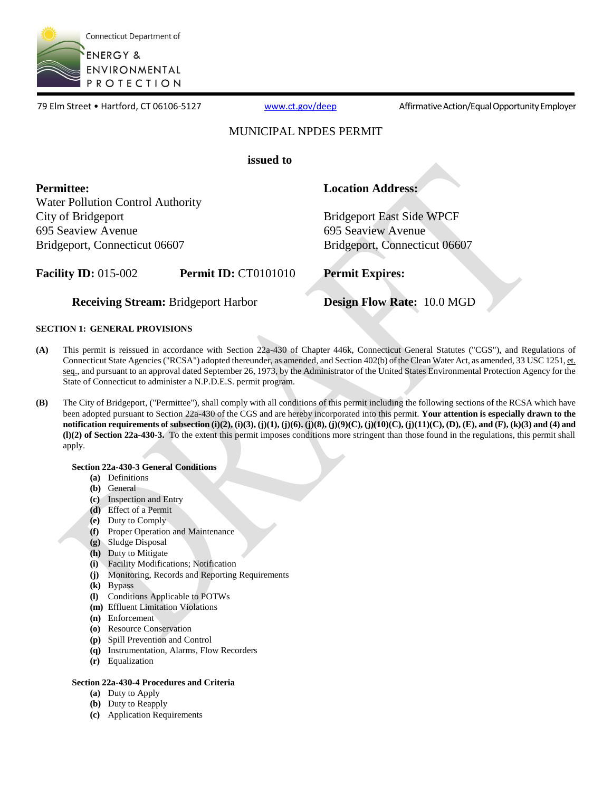

79 Elm Street • Hartford, CT 06106-5127 [www.ct.gov/deep](http://www.ct.gov/deep) Affirmative Action/Equal Opportunity Employer

# MUNICIPAL NPDES PERMIT

**issued to**

**Permittee: Location Address:** Water Pollution Control Authority City of Bridgeport Basic Side WPCF 695 Seaview Avenue 695 Seaview Avenue

Bridgeport, Connecticut 06607 Bridgeport, Connecticut 06607

**Facility ID:** 015-002 **Permit ID:** CT0101010 **Permit Expires:**

**Receiving Stream:** Bridgeport Harbor **Design Flow Rate:** 10.0 MGD

# **SECTION 1: GENERAL PROVISIONS**

- **(A)** This permit is reissued in accordance with Section 22a-430 of Chapter 446k, Connecticut General Statutes ("CGS"), and Regulations of Connecticut State Agencies ("RCSA") adopted thereunder, as amended, and Section 402(b) of the Clean Water Act, as amended, 33 USC 1251, et. seq., and pursuant to an approval dated September 26, 1973, by the Administrator of the United States Environmental Protection Agency for the State of Connecticut to administer a N.P.D.E.S. permit program.
- **(B)** The City of Bridgeport, ("Permittee"), shall comply with all conditions of this permit including the following sections of the RCSA which have been adopted pursuant to Section 22a-430 of the CGS and are hereby incorporated into this permit. **Your attention is especially drawn to the notification requirements of subsection (i)(2), (i)(3), (j)(1), (j)(6), (j)(8), (j)(9)(C), (j)(10)(C), (j)(11)(C), (D), (E), and (F), (k)(3) and (4) and (l)(2) of Section 22a-430-3.** To the extent this permit imposes conditions more stringent than those found in the regulations, this permit shall apply.

## **Section 22a-430-3 General Conditions**

- **(a)** Definitions
- **(b)** General
- **(c)** Inspection and Entry
- **(d)** Effect of a Permit
- **(e)** Duty to Comply
- **(f)** Proper Operation and Maintenance
- **(g)** Sludge Disposal
- **(h)** Duty to Mitigate
- **(i)** Facility Modifications; Notification
- **(j)** Monitoring, Records and Reporting Requirements
- **(k)** Bypass
- **(l)** Conditions Applicable to POTWs
- **(m)** Effluent Limitation Violations
- **(n)** Enforcement
- **(o)** Resource Conservation
- **(p)** Spill Prevention and Control
- **(q)** Instrumentation, Alarms, Flow Recorders
- **(r)** Equalization

## **Section 22a-430-4 Procedures and Criteria**

- **(a)** Duty to Apply
- **(b)** Duty to Reapply
- **(c)** Application Requirements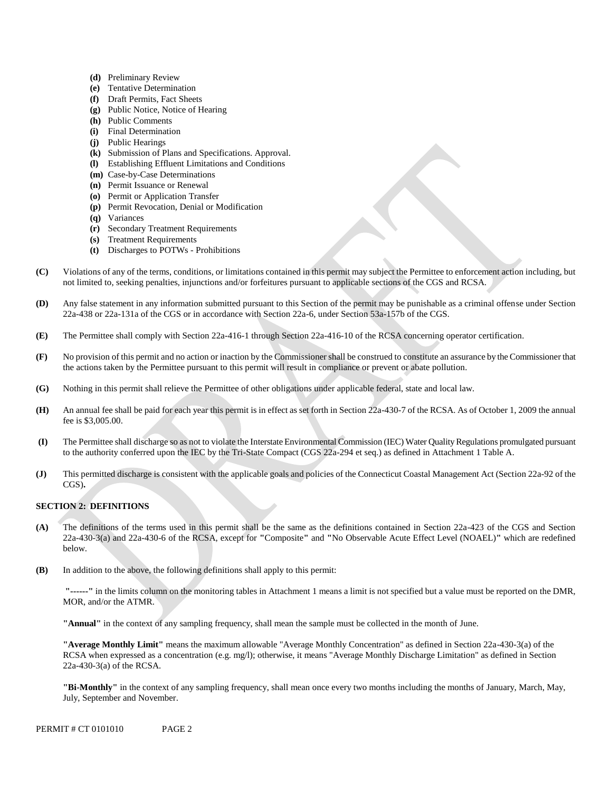- **(d)** Preliminary Review
- **(e)** Tentative Determination
- **(f)** Draft Permits, Fact Sheets
- **(g)** Public Notice, Notice of Hearing
- **(h)** Public Comments
- **(i)** Final Determination
- **(j)** Public Hearings
- **(k)** Submission of Plans and Specifications. Approval.
- **(l)** Establishing Effluent Limitations and Conditions
- **(m)** Case-by-Case Determinations
- **(n)** Permit Issuance or Renewal
- **(o)** Permit or Application Transfer
- **(p)** Permit Revocation, Denial or Modification
- **(q)** Variances
- **(r)** Secondary Treatment Requirements
- **(s)** Treatment Requirements
- **(t)** Discharges to POTWs Prohibitions
- **(C)** Violations of any of the terms, conditions, or limitations contained in this permit may subject the Permittee to enforcement action including, but not limited to, seeking penalties, injunctions and/or forfeitures pursuant to applicable sections of the CGS and RCSA.
- **(D)** Any false statement in any information submitted pursuant to this Section of the permit may be punishable as a criminal offense under Section 22a-438 or 22a-131a of the CGS or in accordance with Section 22a-6, under Section 53a-157b of the CGS.
- **(E)** The Permittee shall comply with Section 22a-416-1 through Section 22a-416-10 of the RCSA concerning operator certification.
- **(F)** No provision of this permit and no action or inaction by the Commissioner shall be construed to constitute an assurance by the Commissioner that the actions taken by the Permittee pursuant to this permit will result in compliance or prevent or abate pollution.
- **(G)** Nothing in this permit shall relieve the Permittee of other obligations under applicable federal, state and local law.
- **(H)** An annual fee shall be paid for each year this permit is in effect as set forth in Section 22a-430-7 of the RCSA. As of October 1, 2009 the annual fee is \$3,005.00.
- **(I)** The Permittee shall discharge so as not to violate the Interstate Environmental Commission (IEC) Water Quality Regulations promulgated pursuant to the authority conferred upon the IEC by the Tri-State Compact (CGS 22a-294 et seq.) as defined in Attachment 1 Table A.
- **(J)** This permitted discharge is consistent with the applicable goals and policies of the Connecticut Coastal Management Act (Section 22a-92 of the CGS)**.**

# **SECTION 2: DEFINITIONS**

- **(A)** The definitions of the terms used in this permit shall be the same as the definitions contained in Section 22a-423 of the CGS and Section 22a-430-3(a) and 22a-430-6 of the RCSA, except for **"**Composite**"** and **"**No Observable Acute Effect Level (NOAEL)**"** which are redefined below.
- **(B)** In addition to the above, the following definitions shall apply to this permit:

**"------"** in the limits column on the monitoring tables in Attachment 1 means a limit is not specified but a value must be reported on the DMR, MOR, and/or the ATMR.

**"Annual"** in the context of any sampling frequency, shall mean the sample must be collected in the month of June.

**"Average Monthly Limit"** means the maximum allowable "Average Monthly Concentration" as defined in Section 22a-430-3(a) of the RCSA when expressed as a concentration (e.g. mg/l); otherwise, it means "Average Monthly Discharge Limitation" as defined in Section 22a-430-3(a) of the RCSA.

**"Bi-Monthly"** in the context of any sampling frequency, shall mean once every two months including the months of January, March, May, July, September and November.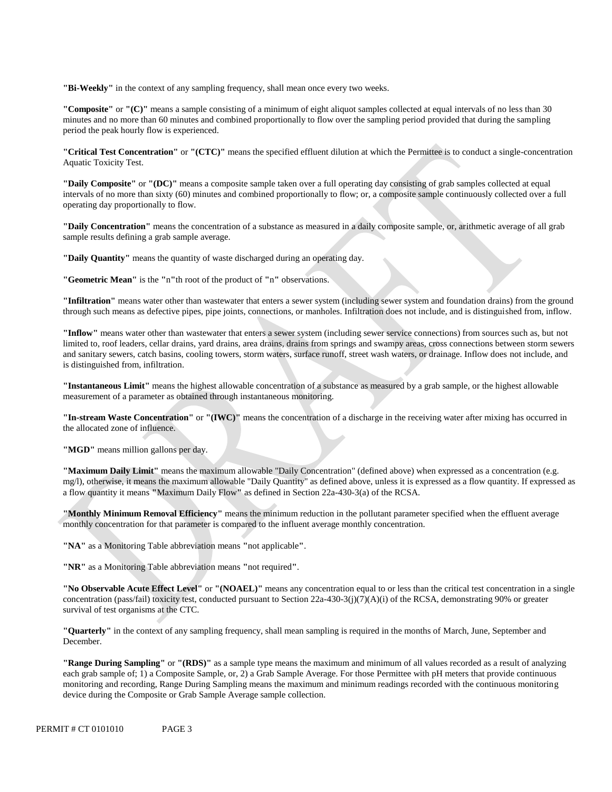**"Bi-Weekly"** in the context of any sampling frequency, shall mean once every two weeks.

**"Composite"** or **"(C)"** means a sample consisting of a minimum of eight aliquot samples collected at equal intervals of no less than 30 minutes and no more than 60 minutes and combined proportionally to flow over the sampling period provided that during the sampling period the peak hourly flow is experienced.

**"Critical Test Concentration"** or **"(CTC)"** means the specified effluent dilution at which the Permittee is to conduct a single-concentration Aquatic Toxicity Test.

**"Daily Composite"** or **"(DC)"** means a composite sample taken over a full operating day consisting of grab samples collected at equal intervals of no more than sixty (60) minutes and combined proportionally to flow; or, a composite sample continuously collected over a full operating day proportionally to flow.

**"Daily Concentration"** means the concentration of a substance as measured in a daily composite sample, or, arithmetic average of all grab sample results defining a grab sample average.

**"Daily Quantity"** means the quantity of waste discharged during an operating day.

**"Geometric Mean"** is the **"**n**"**th root of the product of **"**n**"** observations.

**"Infiltration"** means water other than wastewater that enters a sewer system (including sewer system and foundation drains) from the ground through such means as defective pipes, pipe joints, connections, or manholes. Infiltration does not include, and is distinguished from, inflow.

**"Inflow"** means water other than wastewater that enters a sewer system (including sewer service connections) from sources such as, but not limited to, roof leaders, cellar drains, yard drains, area drains, drains from springs and swampy areas, cross connections between storm sewers and sanitary sewers, catch basins, cooling towers, storm waters, surface runoff, street wash waters, or drainage. Inflow does not include, and is distinguished from, infiltration.

**"Instantaneous Limit"** means the highest allowable concentration of a substance as measured by a grab sample, or the highest allowable measurement of a parameter as obtained through instantaneous monitoring.

**"In-stream Waste Concentration"** or **"(IWC)"** means the concentration of a discharge in the receiving water after mixing has occurred in the allocated zone of influence.

**"MGD"** means million gallons per day.

**"Maximum Daily Limit"** means the maximum allowable "Daily Concentration" (defined above) when expressed as a concentration (e.g. mg/l), otherwise, it means the maximum allowable "Daily Quantity" as defined above, unless it is expressed as a flow quantity. If expressed as a flow quantity it means **"**Maximum Daily Flow**"** as defined in Section 22a-430-3(a) of the RCSA.

 **"Monthly Minimum Removal Efficiency"** means the minimum reduction in the pollutant parameter specified when the effluent average monthly concentration for that parameter is compared to the influent average monthly concentration.

**"NA"** as a Monitoring Table abbreviation means **"**not applicable**"**.

**"NR"** as a Monitoring Table abbreviation means **"**not required**"**.

**"No Observable Acute Effect Level"** or **"(NOAEL)"** means any concentration equal to or less than the critical test concentration in a single concentration (pass/fail) toxicity test, conducted pursuant to Section 22a-430-3(j)(7)(A)(i) of the RCSA, demonstrating 90% or greater survival of test organisms at the CTC.

**"Quarterly"** in the context of any sampling frequency, shall mean sampling is required in the months of March, June, September and December.

**"Range During Sampling"** or **"(RDS)"** as a sample type means the maximum and minimum of all values recorded as a result of analyzing each grab sample of; 1) a Composite Sample, or, 2) a Grab Sample Average. For those Permittee with pH meters that provide continuous monitoring and recording, Range During Sampling means the maximum and minimum readings recorded with the continuous monitoring device during the Composite or Grab Sample Average sample collection.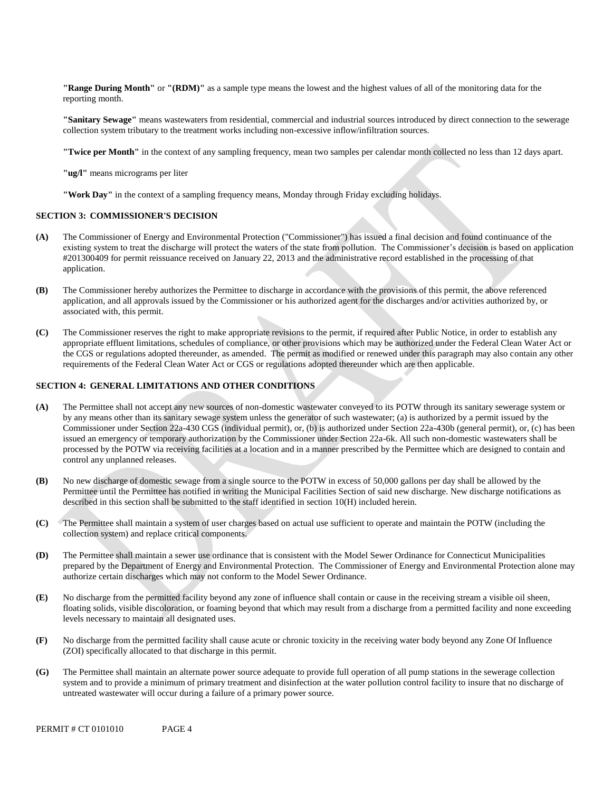**"Range During Month"** or **"(RDM)"** as a sample type means the lowest and the highest values of all of the monitoring data for the reporting month.

**"Sanitary Sewage"** means wastewaters from residential, commercial and industrial sources introduced by direct connection to the sewerage collection system tributary to the treatment works including non-excessive inflow/infiltration sources.

**"Twice per Month"** in the context of any sampling frequency, mean two samples per calendar month collected no less than 12 days apart.

**"ug/l"** means micrograms per liter

**"Work Day"** in the context of a sampling frequency means, Monday through Friday excluding holidays.

#### **SECTION 3: COMMISSIONER'S DECISION**

- **(A)** The Commissioner of Energy and Environmental Protection ("Commissioner") has issued a final decision and found continuance of the existing system to treat the discharge will protect the waters of the state from pollution. The Commissioner's decision is based on application #201300409 for permit reissuance received on January 22, 2013 and the administrative record established in the processing of that application.
- **(B)** The Commissioner hereby authorizes the Permittee to discharge in accordance with the provisions of this permit, the above referenced application, and all approvals issued by the Commissioner or his authorized agent for the discharges and/or activities authorized by, or associated with, this permit.
- **(C)** The Commissioner reserves the right to make appropriate revisions to the permit, if required after Public Notice, in order to establish any appropriate effluent limitations, schedules of compliance, or other provisions which may be authorized under the Federal Clean Water Act or the CGS or regulations adopted thereunder, as amended. The permit as modified or renewed under this paragraph may also contain any other requirements of the Federal Clean Water Act or CGS or regulations adopted thereunder which are then applicable.

#### **SECTION 4: GENERAL LIMITATIONS AND OTHER CONDITIONS**

- **(A)** The Permittee shall not accept any new sources of non-domestic wastewater conveyed to its POTW through its sanitary sewerage system or by any means other than its sanitary sewage system unless the generator of such wastewater; (a) is authorized by a permit issued by the Commissioner under Section 22a-430 CGS (individual permit), or, (b) is authorized under Section 22a-430b (general permit), or, (c) has been issued an emergency or temporary authorization by the Commissioner under Section 22a-6k. All such non-domestic wastewaters shall be processed by the POTW via receiving facilities at a location and in a manner prescribed by the Permittee which are designed to contain and control any unplanned releases.
- **(B)** No new discharge of domestic sewage from a single source to the POTW in excess of 50,000 gallons per day shall be allowed by the Permittee until the Permittee has notified in writing the Municipal Facilities Section of said new discharge. New discharge notifications as described in this section shall be submitted to the staff identified in section 10(H) included herein.
- **(C)** The Permittee shall maintain a system of user charges based on actual use sufficient to operate and maintain the POTW (including the collection system) and replace critical components.
- **(D)** The Permittee shall maintain a sewer use ordinance that is consistent with the Model Sewer Ordinance for Connecticut Municipalities prepared by the Department of Energy and Environmental Protection. The Commissioner of Energy and Environmental Protection alone may authorize certain discharges which may not conform to the Model Sewer Ordinance.
- **(E)** No discharge from the permitted facility beyond any zone of influence shall contain or cause in the receiving stream a visible oil sheen, floating solids, visible discoloration, or foaming beyond that which may result from a discharge from a permitted facility and none exceeding levels necessary to maintain all designated uses.
- **(F)** No discharge from the permitted facility shall cause acute or chronic toxicity in the receiving water body beyond any Zone Of Influence (ZOI) specifically allocated to that discharge in this permit.
- **(G)** The Permittee shall maintain an alternate power source adequate to provide full operation of all pump stations in the sewerage collection system and to provide a minimum of primary treatment and disinfection at the water pollution control facility to insure that no discharge of untreated wastewater will occur during a failure of a primary power source.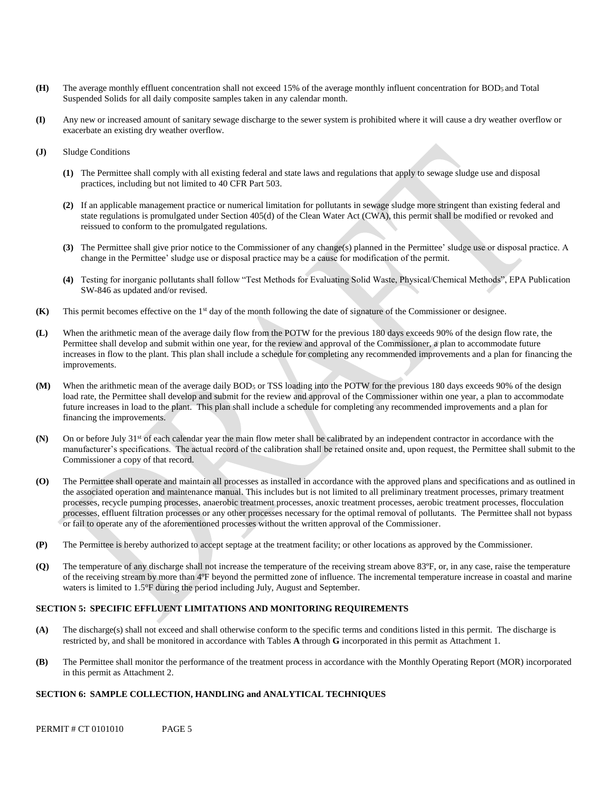- **(H)** The average monthly effluent concentration shall not exceed 15% of the average monthly influent concentration for BOD<sup>5</sup> and Total Suspended Solids for all daily composite samples taken in any calendar month.
- **(I)** Any new or increased amount of sanitary sewage discharge to the sewer system is prohibited where it will cause a dry weather overflow or exacerbate an existing dry weather overflow.
- **(J)** Sludge Conditions
	- **(1)** The Permittee shall comply with all existing federal and state laws and regulations that apply to sewage sludge use and disposal practices, including but not limited to 40 CFR Part 503.
	- **(2)** If an applicable management practice or numerical limitation for pollutants in sewage sludge more stringent than existing federal and state regulations is promulgated under Section 405(d) of the Clean Water Act (CWA), this permit shall be modified or revoked and reissued to conform to the promulgated regulations.
	- **(3)** The Permittee shall give prior notice to the Commissioner of any change(s) planned in the Permittee' sludge use or disposal practice. A change in the Permittee' sludge use or disposal practice may be a cause for modification of the permit.
	- **(4)** Testing for inorganic pollutants shall follow "Test Methods for Evaluating Solid Waste, Physical/Chemical Methods", EPA Publication SW-846 as updated and/or revised.
- **(K)** This permit becomes effective on the 1st day of the month following the date of signature of the Commissioner or designee.
- **(L)** When the arithmetic mean of the average daily flow from the POTW for the previous 180 days exceeds 90% of the design flow rate, the Permittee shall develop and submit within one year, for the review and approval of the Commissioner, a plan to accommodate future increases in flow to the plant. This plan shall include a schedule for completing any recommended improvements and a plan for financing the improvements.
- **(M)** When the arithmetic mean of the average daily BOD<sup>5</sup> or TSS loading into the POTW for the previous 180 days exceeds 90% of the design load rate, the Permittee shall develop and submit for the review and approval of the Commissioner within one year, a plan to accommodate future increases in load to the plant. This plan shall include a schedule for completing any recommended improvements and a plan for financing the improvements.
- **(N)** On or before July 31st of each calendar year the main flow meter shall be calibrated by an independent contractor in accordance with the manufacturer's specifications. The actual record of the calibration shall be retained onsite and, upon request, the Permittee shall submit to the Commissioner a copy of that record.
- **(O)** The Permittee shall operate and maintain all processes as installed in accordance with the approved plans and specifications and as outlined in the associated operation and maintenance manual. This includes but is not limited to all preliminary treatment processes, primary treatment processes, recycle pumping processes, anaerobic treatment processes, anoxic treatment processes, aerobic treatment processes, flocculation processes, effluent filtration processes or any other processes necessary for the optimal removal of pollutants. The Permittee shall not bypass or fail to operate any of the aforementioned processes without the written approval of the Commissioner.
- **(P)** The Permittee is hereby authorized to accept septage at the treatment facility; or other locations as approved by the Commissioner.
- **(Q)** The temperature of any discharge shall not increase the temperature of the receiving stream above 83ºF, or, in any case, raise the temperature of the receiving stream by more than 4ºF beyond the permitted zone of influence. The incremental temperature increase in coastal and marine waters is limited to 1.5°F during the period including July, August and September.

## **SECTION 5: SPECIFIC EFFLUENT LIMITATIONS AND MONITORING REQUIREMENTS**

- **(A)** The discharge(s) shall not exceed and shall otherwise conform to the specific terms and conditions listed in this permit. The discharge is restricted by, and shall be monitored in accordance with Tables **A** through **G** incorporated in this permit as Attachment 1.
- **(B)** The Permittee shall monitor the performance of the treatment process in accordance with the Monthly Operating Report (MOR) incorporated in this permit as Attachment 2.

## **SECTION 6: SAMPLE COLLECTION, HANDLING and ANALYTICAL TECHNIQUES**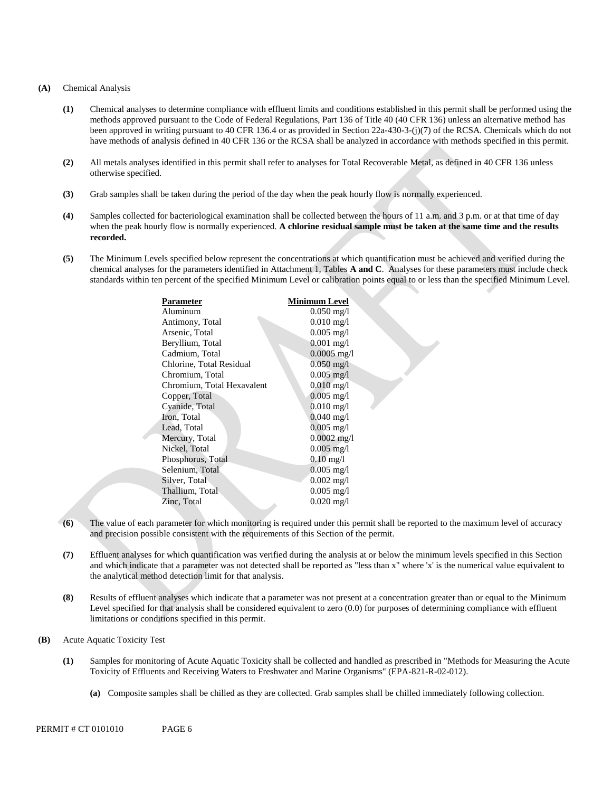#### **(A)** Chemical Analysis

- **(1)** Chemical analyses to determine compliance with effluent limits and conditions established in this permit shall be performed using the methods approved pursuant to the Code of Federal Regulations, Part 136 of Title 40 (40 CFR 136) unless an alternative method has been approved in writing pursuant to 40 CFR 136.4 or as provided in Section 22a-430-3-(j)(7) of the RCSA. Chemicals which do not have methods of analysis defined in 40 CFR 136 or the RCSA shall be analyzed in accordance with methods specified in this permit.
- **(2)** All metals analyses identified in this permit shall refer to analyses for Total Recoverable Metal, as defined in 40 CFR 136 unless otherwise specified.
- **(3)** Grab samples shall be taken during the period of the day when the peak hourly flow is normally experienced.
- **(4)** Samples collected for bacteriological examination shall be collected between the hours of 11 a.m. and 3 p.m. or at that time of day when the peak hourly flow is normally experienced. **A chlorine residual sample must be taken at the same time and the results recorded.**
- **(5)** The Minimum Levels specified below represent the concentrations at which quantification must be achieved and verified during the chemical analyses for the parameters identified in Attachment 1, Tables **A and C**. Analyses for these parameters must include check standards within ten percent of the specified Minimum Level or calibration points equal to or less than the specified Minimum Level.

| Parameter                  | Minimum Level           |
|----------------------------|-------------------------|
| Aluminum                   | $0.050 \text{ mg/l}$    |
| Antimony, Total            | $0.010 \,\mathrm{mg}/l$ |
| Arsenic, Total             | $0.005$ mg/l            |
| Beryllium, Total           | $0.001$ mg/l            |
| Cadmium, Total             | $0.0005$ mg/l           |
| Chlorine, Total Residual   | $0.050 \,\mathrm{mg}/l$ |
| Chromium, Total            | $0.005$ mg/l            |
| Chromium, Total Hexavalent | $0.010$ mg/l            |
| Copper, Total              | $0.005 \text{ mg/l}$    |
| Cyanide, Total             | $0.010$ mg/l            |
| Iron, Total                | $0.040 \,\mathrm{mg}/l$ |
| Lead, Total                | $0.005$ mg/l            |
| Mercury, Total             | $0.0002$ mg/l           |
| Nickel, Total              | $0.005$ mg/l            |
| Phosphorus, Total          | $0.10 \,\mathrm{mg}/l$  |
| Selenium, Total            | $0.005 \text{ mg/l}$    |
| Silver, Total              | $0.002 \text{ mg/l}$    |
| Thallium, Total            | $0.005 \text{ mg/l}$    |
| Zinc, Total                | $0.020 \,\mathrm{mg}/l$ |
|                            |                         |

- **(6)** The value of each parameter for which monitoring is required under this permit shall be reported to the maximum level of accuracy and precision possible consistent with the requirements of this Section of the permit.
- **(7)** Effluent analyses for which quantification was verified during the analysis at or below the minimum levels specified in this Section and which indicate that a parameter was not detected shall be reported as "less than x" where 'x' is the numerical value equivalent to the analytical method detection limit for that analysis.
- **(8)** Results of effluent analyses which indicate that a parameter was not present at a concentration greater than or equal to the Minimum Level specified for that analysis shall be considered equivalent to zero (0.0) for purposes of determining compliance with effluent limitations or conditions specified in this permit.
- **(B)** Acute Aquatic Toxicity Test
	- **(1)** Samples for monitoring of Acute Aquatic Toxicity shall be collected and handled as prescribed in "Methods for Measuring the Acute Toxicity of Effluents and Receiving Waters to Freshwater and Marine Organisms" (EPA-821-R-02-012).
		- **(a)** Composite samples shall be chilled as they are collected. Grab samples shall be chilled immediately following collection.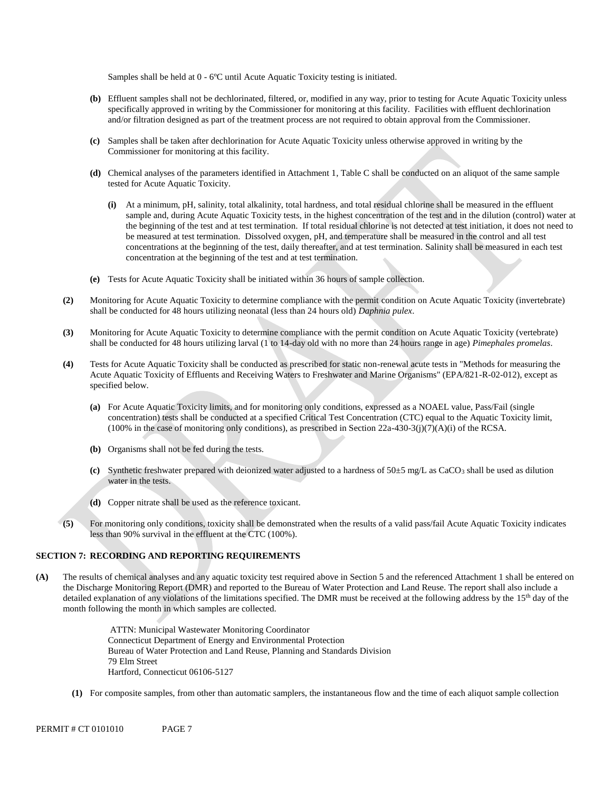Samples shall be held at 0 - 6ºC until Acute Aquatic Toxicity testing is initiated.

- **(b)** Effluent samples shall not be dechlorinated, filtered, or, modified in any way, prior to testing for Acute Aquatic Toxicity unless specifically approved in writing by the Commissioner for monitoring at this facility. Facilities with effluent dechlorination and/or filtration designed as part of the treatment process are not required to obtain approval from the Commissioner.
- **(c)** Samples shall be taken after dechlorination for Acute Aquatic Toxicity unless otherwise approved in writing by the Commissioner for monitoring at this facility.
- **(d)** Chemical analyses of the parameters identified in Attachment 1, Table C shall be conducted on an aliquot of the same sample tested for Acute Aquatic Toxicity.
	- **(i)** At a minimum, pH, salinity, total alkalinity, total hardness, and total residual chlorine shall be measured in the effluent sample and, during Acute Aquatic Toxicity tests, in the highest concentration of the test and in the dilution (control) water at the beginning of the test and at test termination. If total residual chlorine is not detected at test initiation, it does not need to be measured at test termination. Dissolved oxygen, pH, and temperature shall be measured in the control and all test concentrations at the beginning of the test, daily thereafter, and at test termination. Salinity shall be measured in each test concentration at the beginning of the test and at test termination.
- **(e)** Tests for Acute Aquatic Toxicity shall be initiated within 36 hours of sample collection.
- **(2)** Monitoring for Acute Aquatic Toxicity to determine compliance with the permit condition on Acute Aquatic Toxicity (invertebrate) shall be conducted for 48 hours utilizing neonatal (less than 24 hours old) *Daphnia pulex*.
- **(3)** Monitoring for Acute Aquatic Toxicity to determine compliance with the permit condition on Acute Aquatic Toxicity (vertebrate) shall be conducted for 48 hours utilizing larval (1 to 14-day old with no more than 24 hours range in age) *Pimephales promelas*.
- **(4)** Tests for Acute Aquatic Toxicity shall be conducted as prescribed for static non-renewal acute tests in "Methods for measuring the Acute Aquatic Toxicity of Effluents and Receiving Waters to Freshwater and Marine Organisms" (EPA/821-R-02-012), except as specified below.
	- **(a)** For Acute Aquatic Toxicity limits, and for monitoring only conditions, expressed as a NOAEL value, Pass/Fail (single concentration) tests shall be conducted at a specified Critical Test Concentration (CTC) equal to the Aquatic Toxicity limit, (100% in the case of monitoring only conditions), as prescribed in Section 22a-430-3(j)(7)(A)(i) of the RCSA.
	- **(b)** Organisms shall not be fed during the tests.
	- (c) Synthetic freshwater prepared with deionized water adjusted to a hardness of  $50±5$  mg/L as CaCO<sub>3</sub> shall be used as dilution water in the tests.
	- **(d)** Copper nitrate shall be used as the reference toxicant.
- **(5)** For monitoring only conditions, toxicity shall be demonstrated when the results of a valid pass/fail Acute Aquatic Toxicity indicates less than 90% survival in the effluent at the CTC (100%).

## **SECTION 7: RECORDING AND REPORTING REQUIREMENTS**

**(A)** The results of chemical analyses and any aquatic toxicity test required above in Section 5 and the referenced Attachment 1 shall be entered on the Discharge Monitoring Report (DMR) and reported to the Bureau of Water Protection and Land Reuse. The report shall also include a detailed explanation of any violations of the limitations specified. The DMR must be received at the following address by the 15<sup>th</sup> day of the month following the month in which samples are collected.

> ATTN: Municipal Wastewater Monitoring Coordinator Connecticut Department of Energy and Environmental Protection Bureau of Water Protection and Land Reuse, Planning and Standards Division 79 Elm Street Hartford, Connecticut 06106-5127

**(1)** For composite samples, from other than automatic samplers, the instantaneous flow and the time of each aliquot sample collection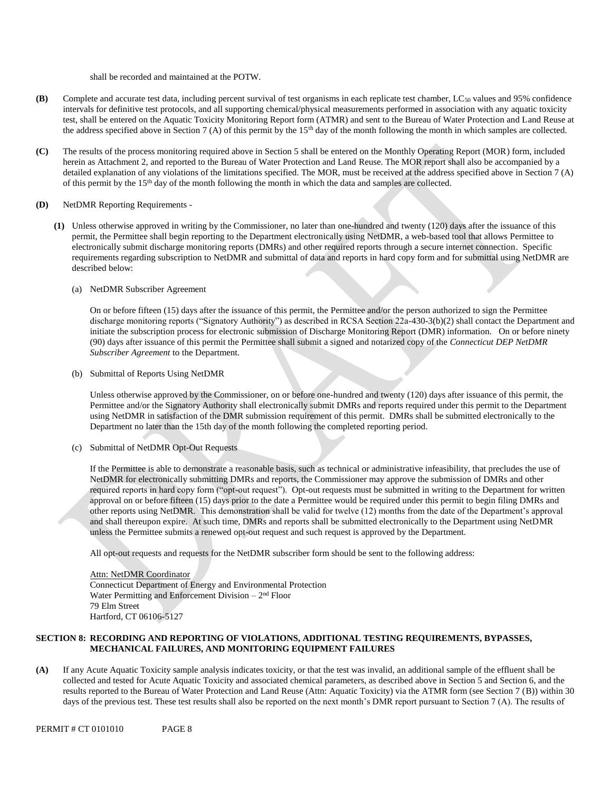shall be recorded and maintained at the POTW.

- **(B)** Complete and accurate test data, including percent survival of test organisms in each replicate test chamber, LC50 values and 95% confidence intervals for definitive test protocols, and all supporting chemical/physical measurements performed in association with any aquatic toxicity test, shall be entered on the Aquatic Toxicity Monitoring Report form (ATMR) and sent to the Bureau of Water Protection and Land Reuse at the address specified above in Section 7 (A) of this permit by the 15<sup>th</sup> day of the month following the month in which samples are collected.
- **(C)** The results of the process monitoring required above in Section 5 shall be entered on the Monthly Operating Report (MOR) form, included herein as Attachment 2, and reported to the Bureau of Water Protection and Land Reuse. The MOR report shall also be accompanied by a detailed explanation of any violations of the limitations specified. The MOR, must be received at the address specified above in Section 7 (A) of this permit by the 15th day of the month following the month in which the data and samples are collected.
- **(D)** NetDMR Reporting Requirements
	- **(1)** Unless otherwise approved in writing by the Commissioner, no later than one-hundred and twenty (120) days after the issuance of this permit, the Permittee shall begin reporting to the Department electronically using NetDMR, a web-based tool that allows Permittee to electronically submit discharge monitoring reports (DMRs) and other required reports through a secure internet connection. Specific requirements regarding subscription to NetDMR and submittal of data and reports in hard copy form and for submittal using NetDMR are described below:
		- (a) NetDMR Subscriber Agreement

On or before fifteen (15) days after the issuance of this permit, the Permittee and/or the person authorized to sign the Permittee discharge monitoring reports ("Signatory Authority") as described in RCSA Section 22a-430-3(b)(2) shall contact the Department and initiate the subscription process for electronic submission of Discharge Monitoring Report (DMR) information. On or before ninety (90) days after issuance of this permit the Permittee shall submit a signed and notarized copy of the *Connecticut DEP NetDMR Subscriber Agreement* to the Department*.* 

(b) Submittal of Reports Using NetDMR

Unless otherwise approved by the Commissioner, on or before one-hundred and twenty (120) days after issuance of this permit, the Permittee and/or the Signatory Authority shall electronically submit DMRs and reports required under this permit to the Department using NetDMR in satisfaction of the DMR submission requirement of this permit. DMRs shall be submitted electronically to the Department no later than the 15th day of the month following the completed reporting period.

(c) Submittal of NetDMR Opt-Out Requests

If the Permittee is able to demonstrate a reasonable basis, such as technical or administrative infeasibility, that precludes the use of NetDMR for electronically submitting DMRs and reports, the Commissioner may approve the submission of DMRs and other required reports in hard copy form ("opt-out request"). Opt-out requests must be submitted in writing to the Department for written approval on or before fifteen (15) days prior to the date a Permittee would be required under this permit to begin filing DMRs and other reports using NetDMR. This demonstration shall be valid for twelve (12) months from the date of the Department's approval and shall thereupon expire. At such time, DMRs and reports shall be submitted electronically to the Department using NetDMR unless the Permittee submits a renewed opt-out request and such request is approved by the Department.

All opt-out requests and requests for the NetDMR subscriber form should be sent to the following address:

Attn: NetDMR Coordinator Connecticut Department of Energy and Environmental Protection Water Permitting and Enforcement Division  $-2<sup>nd</sup>$  Floor 79 Elm Street Hartford, CT 06106-5127

### **SECTION 8: RECORDING AND REPORTING OF VIOLATIONS, ADDITIONAL TESTING REQUIREMENTS, BYPASSES, MECHANICAL FAILURES, AND MONITORING EQUIPMENT FAILURES**

**(A)** If any Acute Aquatic Toxicity sample analysis indicates toxicity, or that the test was invalid, an additional sample of the effluent shall be collected and tested for Acute Aquatic Toxicity and associated chemical parameters, as described above in Section 5 and Section 6, and the results reported to the Bureau of Water Protection and Land Reuse (Attn: Aquatic Toxicity) via the ATMR form (see Section 7 (B)) within 30 days of the previous test. These test results shall also be reported on the next month's DMR report pursuant to Section 7 (A). The results of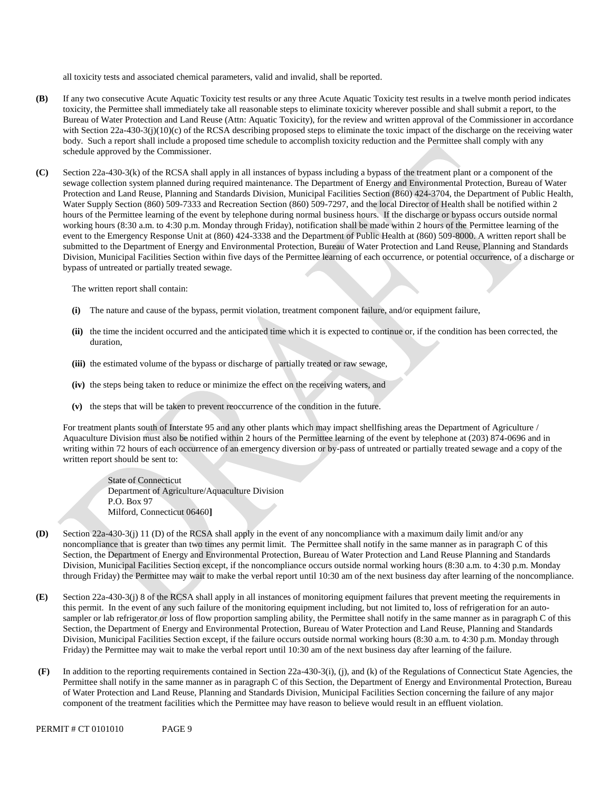all toxicity tests and associated chemical parameters, valid and invalid, shall be reported.

- **(B)** If any two consecutive Acute Aquatic Toxicity test results or any three Acute Aquatic Toxicity test results in a twelve month period indicates toxicity, the Permittee shall immediately take all reasonable steps to eliminate toxicity wherever possible and shall submit a report, to the Bureau of Water Protection and Land Reuse (Attn: Aquatic Toxicity), for the review and written approval of the Commissioner in accordance with Section 22a-430-3(j)(10)(c) of the RCSA describing proposed steps to eliminate the toxic impact of the discharge on the receiving water body. Such a report shall include a proposed time schedule to accomplish toxicity reduction and the Permittee shall comply with any schedule approved by the Commissioner.
- **(C)** Section 22a-430-3(k) of the RCSA shall apply in all instances of bypass including a bypass of the treatment plant or a component of the sewage collection system planned during required maintenance. The Department of Energy and Environmental Protection, Bureau of Water Protection and Land Reuse, Planning and Standards Division, Municipal Facilities Section (860) 424-3704, the Department of Public Health, Water Supply Section (860) 509-7333 and Recreation Section (860) 509-7297, and the local Director of Health shall be notified within 2 hours of the Permittee learning of the event by telephone during normal business hours. If the discharge or bypass occurs outside normal working hours (8:30 a.m. to 4:30 p.m. Monday through Friday), notification shall be made within 2 hours of the Permittee learning of the event to the Emergency Response Unit at (860) 424-3338 and the Department of Public Health at (860) 509-8000. A written report shall be submitted to the Department of Energy and Environmental Protection, Bureau of Water Protection and Land Reuse, Planning and Standards Division, Municipal Facilities Section within five days of the Permittee learning of each occurrence, or potential occurrence, of a discharge or bypass of untreated or partially treated sewage.

The written report shall contain:

- **(i)** The nature and cause of the bypass, permit violation, treatment component failure, and/or equipment failure,
- **(ii)** the time the incident occurred and the anticipated time which it is expected to continue or, if the condition has been corrected, the duration,
- **(iii)** the estimated volume of the bypass or discharge of partially treated or raw sewage,
- **(iv)** the steps being taken to reduce or minimize the effect on the receiving waters, and
- **(v)** the steps that will be taken to prevent reoccurrence of the condition in the future.

For treatment plants south of Interstate 95 and any other plants which may impact shellfishing areas the Department of Agriculture / Aquaculture Division must also be notified within 2 hours of the Permittee learning of the event by telephone at (203) 874-0696 and in writing within 72 hours of each occurrence of an emergency diversion or by-pass of untreated or partially treated sewage and a copy of the written report should be sent to:

State of Connecticut Department of Agriculture/Aquaculture Division P.O. Box 97 Milford, Connecticut 06460**]**

- **(D)** Section 22a-430-3(j) 11 (D) of the RCSA shall apply in the event of any noncompliance with a maximum daily limit and/or any noncompliance that is greater than two times any permit limit. The Permittee shall notify in the same manner as in paragraph C of this Section, the Department of Energy and Environmental Protection, Bureau of Water Protection and Land Reuse Planning and Standards Division, Municipal Facilities Section except, if the noncompliance occurs outside normal working hours (8:30 a.m. to 4:30 p.m. Monday through Friday) the Permittee may wait to make the verbal report until 10:30 am of the next business day after learning of the noncompliance.
- **(E)** Section 22a-430-3(j) 8 of the RCSA shall apply in all instances of monitoring equipment failures that prevent meeting the requirements in this permit. In the event of any such failure of the monitoring equipment including, but not limited to, loss of refrigeration for an autosampler or lab refrigerator or loss of flow proportion sampling ability, the Permittee shall notify in the same manner as in paragraph C of this Section, the Department of Energy and Environmental Protection, Bureau of Water Protection and Land Reuse, Planning and Standards Division, Municipal Facilities Section except, if the failure occurs outside normal working hours (8:30 a.m. to 4:30 p.m. Monday through Friday) the Permittee may wait to make the verbal report until 10:30 am of the next business day after learning of the failure.
- **(F)** In addition to the reporting requirements contained in Section 22a-430-3(i), (j), and (k) of the Regulations of Connecticut State Agencies, the Permittee shall notify in the same manner as in paragraph C of this Section, the Department of Energy and Environmental Protection, Bureau of Water Protection and Land Reuse, Planning and Standards Division, Municipal Facilities Section concerning the failure of any major component of the treatment facilities which the Permittee may have reason to believe would result in an effluent violation.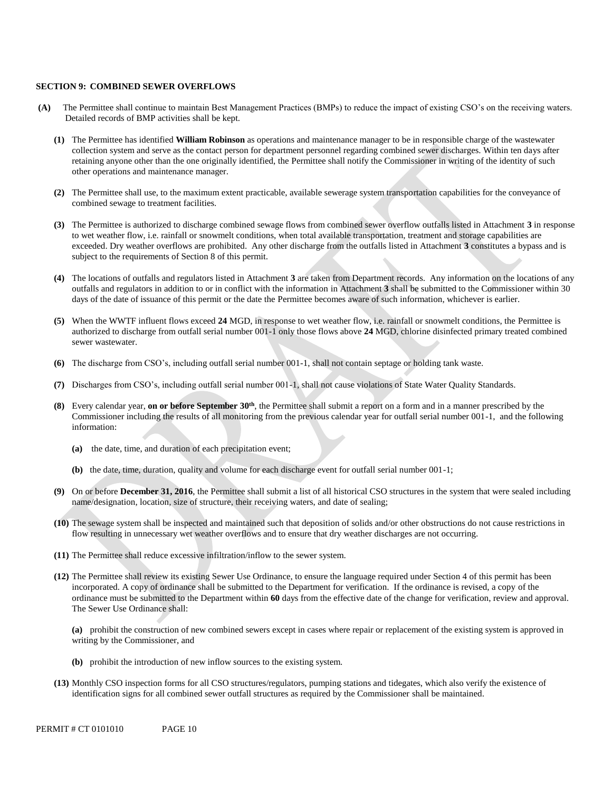#### **SECTION 9: COMBINED SEWER OVERFLOWS**

- **(A)** The Permittee shall continue to maintain Best Management Practices (BMPs) to reduce the impact of existing CSO's on the receiving waters. Detailed records of BMP activities shall be kept.
	- **(1)** The Permittee has identified **William Robinson** as operations and maintenance manager to be in responsible charge of the wastewater collection system and serve as the contact person for department personnel regarding combined sewer discharges. Within ten days after retaining anyone other than the one originally identified, the Permittee shall notify the Commissioner in writing of the identity of such other operations and maintenance manager.
	- **(2)** The Permittee shall use, to the maximum extent practicable, available sewerage system transportation capabilities for the conveyance of combined sewage to treatment facilities.
	- **(3)** The Permittee is authorized to discharge combined sewage flows from combined sewer overflow outfalls listed in Attachment **3** in response to wet weather flow, i.e. rainfall or snowmelt conditions, when total available transportation, treatment and storage capabilities are exceeded. Dry weather overflows are prohibited. Any other discharge from the outfalls listed in Attachment **3** constitutes a bypass and is subject to the requirements of Section 8 of this permit.
	- **(4)** The locations of outfalls and regulators listed in Attachment **3** are taken from Department records. Any information on the locations of any outfalls and regulators in addition to or in conflict with the information in Attachment **3** shall be submitted to the Commissioner within 30 days of the date of issuance of this permit or the date the Permittee becomes aware of such information, whichever is earlier.
	- **(5)** When the WWTF influent flows exceed **24** MGD, in response to wet weather flow, i.e. rainfall or snowmelt conditions, the Permittee is authorized to discharge from outfall serial number 001-1 only those flows above **24** MGD, chlorine disinfected primary treated combined sewer wastewater.
	- **(6)** The discharge from CSO's, including outfall serial number 001-1, shall not contain septage or holding tank waste.
	- **(7)** Discharges from CSO's, including outfall serial number 001-1, shall not cause violations of State Water Quality Standards.
	- **(8)** Every calendar year, **on or before September 30th** , the Permittee shall submit a report on a form and in a manner prescribed by the Commissioner including the results of all monitoring from the previous calendar year for outfall serial number 001-1, and the following information:
		- **(a)** the date, time, and duration of each precipitation event;
		- **(b)** the date, time, duration, quality and volume for each discharge event for outfall serial number 001-1;
	- **(9)** On or before **December 31, 2016**, the Permittee shall submit a list of all historical CSO structures in the system that were sealed including name/designation, location, size of structure, their receiving waters, and date of sealing;
	- **(10)** The sewage system shall be inspected and maintained such that deposition of solids and/or other obstructions do not cause restrictions in flow resulting in unnecessary wet weather overflows and to ensure that dry weather discharges are not occurring.
	- **(11)** The Permittee shall reduce excessive infiltration/inflow to the sewer system.
	- **(12)** The Permittee shall review its existing Sewer Use Ordinance, to ensure the language required under Section 4 of this permit has been incorporated. A copy of ordinance shall be submitted to the Department for verification. If the ordinance is revised, a copy of the ordinance must be submitted to the Department within **60** days from the effective date of the change for verification, review and approval. The Sewer Use Ordinance shall:

**(a)** prohibit the construction of new combined sewers except in cases where repair or replacement of the existing system is approved in writing by the Commissioner, and

- **(b)** prohibit the introduction of new inflow sources to the existing system.
- **(13)** Monthly CSO inspection forms for all CSO structures/regulators, pumping stations and tidegates, which also verify the existence of identification signs for all combined sewer outfall structures as required by the Commissioner shall be maintained.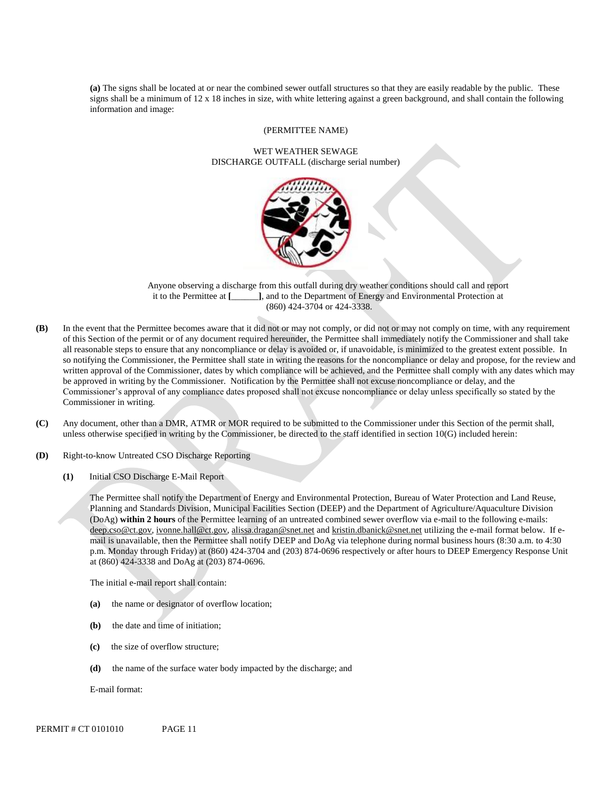**(a)** The signs shall be located at or near the combined sewer outfall structures so that they are easily readable by the public. These signs shall be a minimum of 12 x 18 inches in size, with white lettering against a green background, and shall contain the following information and image:

#### (PERMITTEE NAME)

#### WET WEATHER SEWAGE DISCHARGE OUTFALL (discharge serial number)



Anyone observing a discharge from this outfall during dry weather conditions should call and report it to the Permittee at **[**\_\_\_\_\_\_**]**, and to the Department of Energy and Environmental Protection at (860) 424-3704 or 424-3338.

- **(B)** In the event that the Permittee becomes aware that it did not or may not comply, or did not or may not comply on time, with any requirement of this Section of the permit or of any document required hereunder, the Permittee shall immediately notify the Commissioner and shall take all reasonable steps to ensure that any noncompliance or delay is avoided or, if unavoidable, is minimized to the greatest extent possible. In so notifying the Commissioner, the Permittee shall state in writing the reasons for the noncompliance or delay and propose, for the review and written approval of the Commissioner, dates by which compliance will be achieved, and the Permittee shall comply with any dates which may be approved in writing by the Commissioner. Notification by the Permittee shall not excuse noncompliance or delay, and the Commissioner's approval of any compliance dates proposed shall not excuse noncompliance or delay unless specifically so stated by the Commissioner in writing.
- **(C)** Any document, other than a DMR, ATMR or MOR required to be submitted to the Commissioner under this Section of the permit shall, unless otherwise specified in writing by the Commissioner, be directed to the staff identified in section 10(G) included herein:
- **(D)** Right-to-know Untreated CSO Discharge Reporting
	- **(1)** Initial CSO Discharge E-Mail Report

The Permittee shall notify the Department of Energy and Environmental Protection, Bureau of Water Protection and Land Reuse, Planning and Standards Division, Municipal Facilities Section (DEEP) and the Department of Agriculture/Aquaculture Division (DoAg) **within 2 hours** of the Permittee learning of an untreated combined sewer overflow via e-mail to the following e-mails: [deep.cso@ct.gov,](mailto:deep.cso@ct.gov) [ivonne.hall@ct.gov,](mailto:ivonne.hall@ct.gov) [alissa.dragan@snet.net a](mailto:alissa.dragan@snet.net)nd [kristin.dbanick@snet.net u](mailto:kristin.dbanick@snet.net)tilizing the e-mail format below. If email is unavailable, then the Permittee shall notify DEEP and DoAg via telephone during normal business hours (8:30 a.m. to 4:30 p.m. Monday through Friday) at (860) 424-3704 and (203) 874-0696 respectively or after hours to DEEP Emergency Response Unit at (860) 424-3338 and DoAg at (203) 874-0696.

The initial e-mail report shall contain:

- **(a)** the name or designator of overflow location;
- **(b)** the date and time of initiation;
- **(c)** the size of overflow structure;
- **(d)** the name of the surface water body impacted by the discharge; and

E-mail format: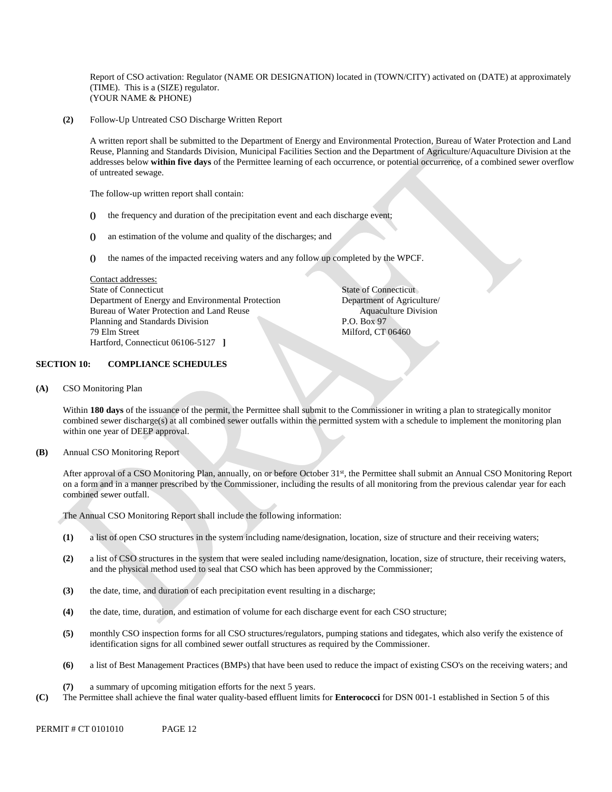Report of CSO activation: Regulator (NAME OR DESIGNATION) located in (TOWN/CITY) activated on (DATE) at approximately (TIME). This is a (SIZE) regulator. (YOUR NAME & PHONE)

**(2)** Follow-Up Untreated CSO Discharge Written Report

 A written report shall be submitted to the Department of Energy and Environmental Protection, Bureau of Water Protection and Land Reuse, Planning and Standards Division, Municipal Facilities Section and the Department of Agriculture/Aquaculture Division at the addresses below **within five days** of the Permittee learning of each occurrence, or potential occurrence, of a combined sewer overflow of untreated sewage.

The follow-up written report shall contain:

- **()** the frequency and duration of the precipitation event and each discharge event;
- **()** an estimation of the volume and quality of the discharges; and
- **()** the names of the impacted receiving waters and any follow up completed by the WPCF.

Contact addresses: State of Connecticut State of Connecticut Department of Energy and Environmental Protection Department of Agriculture/ Bureau of Water Protection and Land Reuse Aquaculture Division Planning and Standards Division P.O. Box 97 79 Elm Street Milford, CT 06460 Hartford, Connecticut 06106-5127 **]**

# **SECTION 10: COMPLIANCE SCHEDULES**

**(A)** CSO Monitoring Plan

Within 180 days of the issuance of the permit, the Permittee shall submit to the Commissioner in writing a plan to strategically monitor combined sewer discharge(s) at all combined sewer outfalls within the permitted system with a schedule to implement the monitoring plan within one year of DEEP approval.

**(B)** Annual CSO Monitoring Report

 After approval of a CSO Monitoring Plan, annually, on or before October 31st, the Permittee shall submit an Annual CSO Monitoring Report on a form and in a manner prescribed by the Commissioner, including the results of all monitoring from the previous calendar year for each combined sewer outfall.

The Annual CSO Monitoring Report shall include the following information:

- **(1)** a list of open CSO structures in the system including name/designation, location, size of structure and their receiving waters;
- **(2)** a list of CSO structures in the system that were sealed including name/designation, location, size of structure, their receiving waters, and the physical method used to seal that CSO which has been approved by the Commissioner;
- **(3)** the date, time, and duration of each precipitation event resulting in a discharge;
- **(4)** the date, time, duration, and estimation of volume for each discharge event for each CSO structure;
- **(5)** monthly CSO inspection forms for all CSO structures/regulators, pumping stations and tidegates, which also verify the existence of identification signs for all combined sewer outfall structures as required by the Commissioner.
- **(6)** a list of Best Management Practices (BMPs) that have been used to reduce the impact of existing CSO's on the receiving waters; and
- **(7)** a summary of upcoming mitigation efforts for the next 5 years.
- **(C)** The Permittee shall achieve the final water quality-based effluent limits for **Enterococci** for DSN 001-1 established in Section 5 of this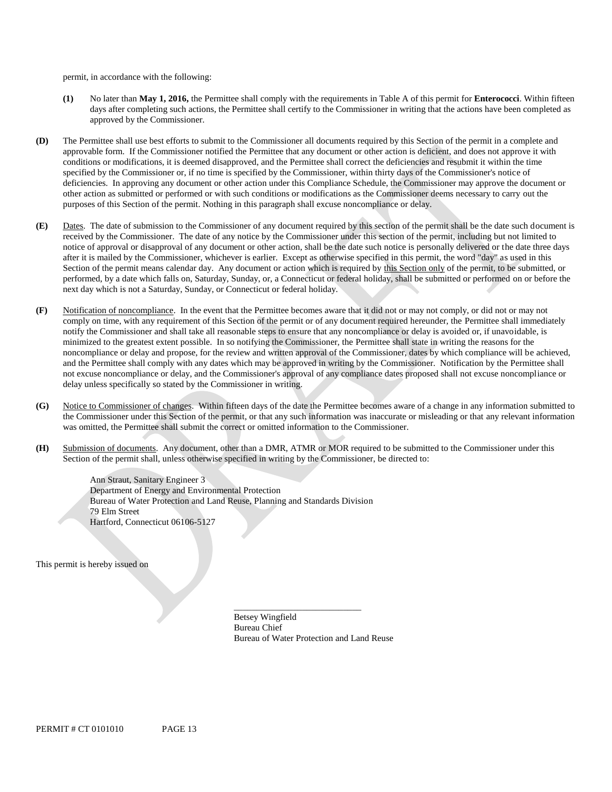permit, in accordance with the following:

- **(1)** No later than **May 1, 2016,** the Permittee shall comply with the requirements in Table A of this permit for **Enterococci**. Within fifteen days after completing such actions, the Permittee shall certify to the Commissioner in writing that the actions have been completed as approved by the Commissioner.
- **(D)** The Permittee shall use best efforts to submit to the Commissioner all documents required by this Section of the permit in a complete and approvable form. If the Commissioner notified the Permittee that any document or other action is deficient, and does not approve it with conditions or modifications, it is deemed disapproved, and the Permittee shall correct the deficiencies and resubmit it within the time specified by the Commissioner or, if no time is specified by the Commissioner, within thirty days of the Commissioner's notice of deficiencies. In approving any document or other action under this Compliance Schedule, the Commissioner may approve the document or other action as submitted or performed or with such conditions or modifications as the Commissioner deems necessary to carry out the purposes of this Section of the permit. Nothing in this paragraph shall excuse noncompliance or delay.
- **(E)** Dates. The date of submission to the Commissioner of any document required by this section of the permit shall be the date such document is received by the Commissioner. The date of any notice by the Commissioner under this section of the permit, including but not limited to notice of approval or disapproval of any document or other action, shall be the date such notice is personally delivered or the date three days after it is mailed by the Commissioner, whichever is earlier. Except as otherwise specified in this permit, the word "day" as used in this Section of the permit means calendar day. Any document or action which is required by this Section only of the permit, to be submitted, or performed, by a date which falls on, Saturday, Sunday, or, a Connecticut or federal holiday, shall be submitted or performed on or before the next day which is not a Saturday, Sunday, or Connecticut or federal holiday.
- **(F)** Notification of noncompliance. In the event that the Permittee becomes aware that it did not or may not comply, or did not or may not comply on time, with any requirement of this Section of the permit or of any document required hereunder, the Permittee shall immediately notify the Commissioner and shall take all reasonable steps to ensure that any noncompliance or delay is avoided or, if unavoidable, is minimized to the greatest extent possible. In so notifying the Commissioner, the Permittee shall state in writing the reasons for the noncompliance or delay and propose, for the review and written approval of the Commissioner, dates by which compliance will be achieved, and the Permittee shall comply with any dates which may be approved in writing by the Commissioner. Notification by the Permittee shall not excuse noncompliance or delay, and the Commissioner's approval of any compliance dates proposed shall not excuse noncompliance or delay unless specifically so stated by the Commissioner in writing.
- **(G)** Notice to Commissioner of changes. Within fifteen days of the date the Permittee becomes aware of a change in any information submitted to the Commissioner under this Section of the permit, or that any such information was inaccurate or misleading or that any relevant information was omitted, the Permittee shall submit the correct or omitted information to the Commissioner.
- **(H)** Submission of documents. Any document, other than a DMR, ATMR or MOR required to be submitted to the Commissioner under this Section of the permit shall, unless otherwise specified in writing by the Commissioner, be directed to:

Ann Straut, Sanitary Engineer 3 Department of Energy and Environmental Protection Bureau of Water Protection and Land Reuse, Planning and Standards Division 79 Elm Street Hartford, Connecticut 06106-5127

This permit is hereby issued on

Betsey Wingfield Bureau Chief Bureau of Water Protection and Land Reuse

\_\_\_\_\_\_\_\_\_\_\_\_\_\_\_\_\_\_\_\_\_\_\_\_\_\_\_\_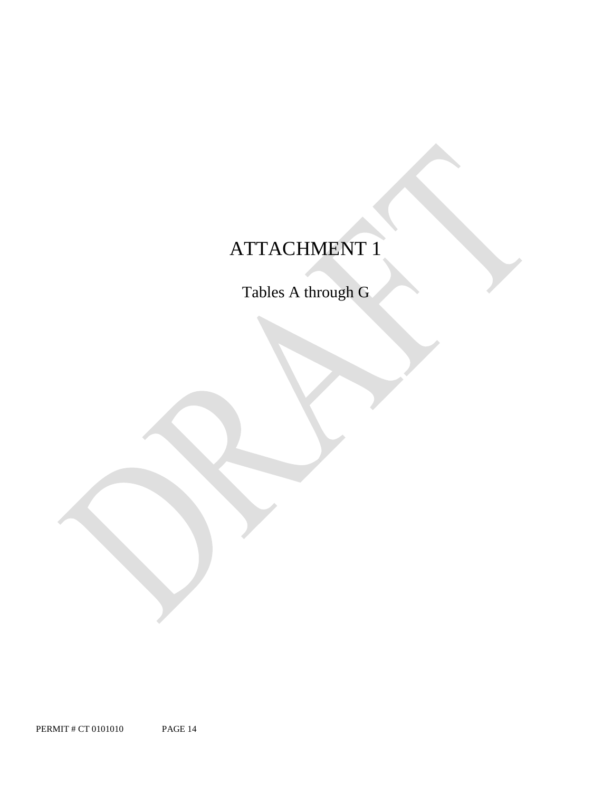# ATTACHMENT 1

Tables A through G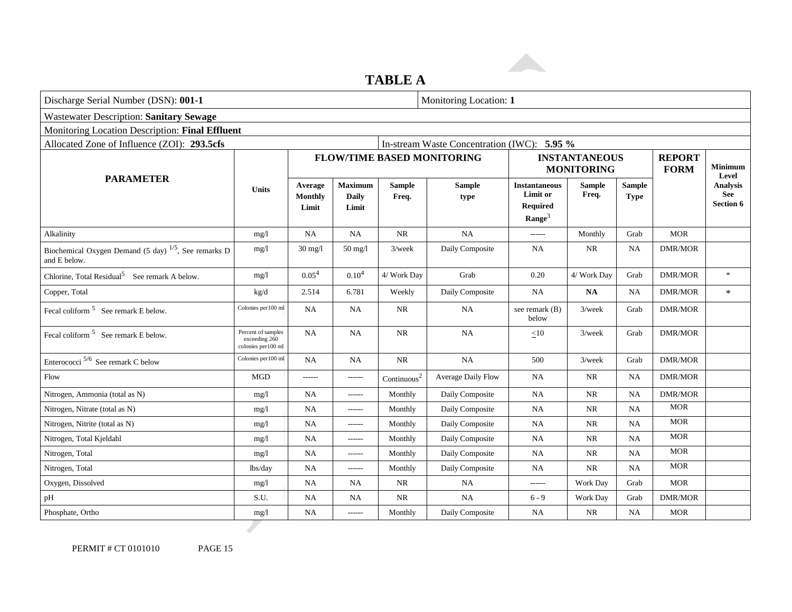# **TABLE A**

| Discharge Serial Number (DSN): 001-1<br>Monitoring Location: 1             |                                                            |                                    |                                         |                         |                                             |                                                                           |                        |                              |                              |                                            |
|----------------------------------------------------------------------------|------------------------------------------------------------|------------------------------------|-----------------------------------------|-------------------------|---------------------------------------------|---------------------------------------------------------------------------|------------------------|------------------------------|------------------------------|--------------------------------------------|
| <b>Wastewater Description: Sanitary Sewage</b>                             |                                                            |                                    |                                         |                         |                                             |                                                                           |                        |                              |                              |                                            |
| Monitoring Location Description: Final Effluent                            |                                                            |                                    |                                         |                         |                                             |                                                                           |                        |                              |                              |                                            |
| Allocated Zone of Influence (ZOI): 293.5cfs                                |                                                            |                                    |                                         |                         | In-stream Waste Concentration (IWC): 5.95 % |                                                                           |                        |                              |                              |                                            |
|                                                                            |                                                            |                                    |                                         |                         | <b>FLOW/TIME BASED MONITORING</b>           | <b>INSTANTANEOUS</b><br><b>MONITORING</b>                                 |                        |                              | <b>REPORT</b><br><b>FORM</b> | <b>Minimum</b><br>Level                    |
| <b>PARAMETER</b>                                                           | <b>Units</b>                                               | Average<br><b>Monthly</b><br>Limit | <b>Maximum</b><br><b>Daily</b><br>Limit | <b>Sample</b><br>Freq.  | <b>Sample</b><br>type                       | <b>Instantaneous</b><br>Limit or<br><b>Required</b><br>$\textbf{Range}^3$ | <b>Sample</b><br>Freq. | <b>Sample</b><br><b>Type</b> |                              | <b>Analysis</b><br>See<br><b>Section 6</b> |
| Alkalinity                                                                 | mg/1                                                       | <b>NA</b>                          | NA                                      | NR                      | NA                                          | ------                                                                    | Monthly                | Grab                         | <b>MOR</b>                   |                                            |
| Biochemical Oxygen Demand (5 day) $^{1/5}$ , See remarks D<br>and E below. | mg/1                                                       | $30 \text{ mg}/l$                  | $50$ mg/l                               | $3$ /week               | Daily Composite                             | <b>NA</b>                                                                 | NR                     | <b>NA</b>                    | <b>DMR/MOR</b>               |                                            |
| Chlorine, Total Residual <sup>5</sup> See remark A below.                  | mg/1                                                       | 0.05 <sup>4</sup>                  | 0.10 <sup>4</sup>                       | 4/ Work Day             | Grab                                        | 0.20                                                                      | 4/ Work Day            | Grab                         | <b>DMR/MOR</b>               | $\ast$                                     |
| Copper, Total                                                              | kg/d                                                       | 2.514                              | 6.781                                   | Weekly                  | Daily Composite                             | NA                                                                        | NA                     | <b>NA</b>                    | <b>DMR/MOR</b>               | $\ast$                                     |
| Fecal coliform $5$ See remark E below.                                     | Colonies per100 ml                                         | <b>NA</b>                          | NA                                      | <b>NR</b>               | NA                                          | see remark (B)<br>below                                                   | $3$ /week              | Grab                         | <b>DMR/MOR</b>               |                                            |
| Fecal coliform <sup>5</sup> See remark E below.                            | Percent of samples<br>exceeding 260<br>colonies per 100 ml | <b>NA</b>                          | NA                                      | NR                      | NA                                          | <10                                                                       | $3$ /week              | Grab                         | <b>DMR/MOR</b>               |                                            |
| Enterococci $5/6$ See remark C below                                       | Colonies per100 ml                                         | <b>NA</b>                          | NA                                      | <b>NR</b>               | NA                                          | 500                                                                       | $3$ /week              | Grab                         | <b>DMR/MOR</b>               |                                            |
| Flow                                                                       | <b>MGD</b>                                                 | -------                            | ------                                  | Continuous <sup>2</sup> | Average Daily Flow                          | <b>NA</b>                                                                 | NR                     | <b>NA</b>                    | <b>DMR/MOR</b>               |                                            |
| Nitrogen, Ammonia (total as N)                                             | mg/1                                                       | <b>NA</b>                          | ------                                  | Monthly                 | Daily Composite                             | <b>NA</b>                                                                 | <b>NR</b>              | <b>NA</b>                    | <b>DMR/MOR</b>               |                                            |
| Nitrogen, Nitrate (total as N)                                             | mg/1                                                       | NA                                 | ------                                  | Monthly                 | Daily Composite                             | <b>NA</b>                                                                 | <b>NR</b>              | <b>NA</b>                    | <b>MOR</b>                   |                                            |
| Nitrogen, Nitrite (total as N)                                             | mg/1                                                       | NA                                 | ------                                  | Monthly                 | Daily Composite                             | NA                                                                        | NR                     | <b>NA</b>                    | <b>MOR</b>                   |                                            |
| Nitrogen, Total Kjeldahl                                                   | mg/1                                                       | NA                                 | ------                                  | Monthly                 | Daily Composite                             | NA                                                                        | NR                     | <b>NA</b>                    | <b>MOR</b>                   |                                            |
| Nitrogen, Total                                                            | mg/1                                                       | <b>NA</b>                          | ------                                  | Monthly                 | Daily Composite                             | <b>NA</b>                                                                 | NR                     | <b>NA</b>                    | <b>MOR</b>                   |                                            |
| Nitrogen, Total                                                            | lbs/day                                                    | <b>NA</b>                          | ------                                  | Monthly                 | Daily Composite                             | <b>NA</b>                                                                 | NR                     | <b>NA</b>                    | <b>MOR</b>                   |                                            |
| Oxygen, Dissolved                                                          | mg/1                                                       | <b>NA</b>                          | <b>NA</b>                               | <b>NR</b>               | NA                                          | ------                                                                    | Work Day               | Grab                         | <b>MOR</b>                   |                                            |
| pH                                                                         | S.U.                                                       | NA                                 | <b>NA</b>                               | <b>NR</b>               | NA                                          | $6 - 9$                                                                   | Work Day               | Grab                         | <b>DMR/MOR</b>               |                                            |
| Phosphate, Ortho                                                           | mg/1                                                       | NA                                 | ------                                  | Monthly                 | Daily Composite                             | <b>NA</b>                                                                 | NR                     | <b>NA</b>                    | <b>MOR</b>                   |                                            |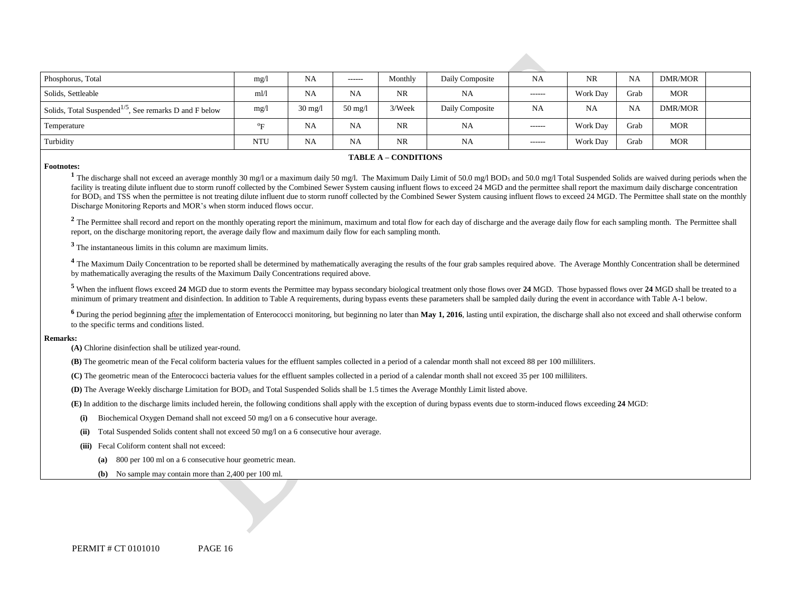| Phosphorus, Total                                                  | mg/                   | NA                | -------           | Monthly | Daily Composite | NA            | <b>NR</b> | NA        | DMR/MOR |  |
|--------------------------------------------------------------------|-----------------------|-------------------|-------------------|---------|-----------------|---------------|-----------|-----------|---------|--|
| Solids, Settleable                                                 | m!/l                  | <b>NA</b>         | NA                | NR.     | NA              | $- - - - - -$ | Work Day  | Grab      | MOR     |  |
| Solids, Total Suspended <sup>1/5</sup> , See remarks D and F below | mg/1                  | $30 \text{ mg}/1$ | $50 \text{ mg}/l$ | 3/Week  | Daily Composite | NA            | <b>NA</b> | <b>NA</b> | DMR/MOR |  |
| Temperature                                                        | $\sigma_{\mathbf{E}}$ | <b>NA</b>         | <b>NA</b>         | NR      | NA              | $- - - - - -$ | Work Day  | Grab      | MOR     |  |
| Turbidity                                                          | <b>NTU</b>            | NA                | NA                | NR      | NA              | $- - - - - -$ | Work Day  | Grab      | MOR     |  |

#### **TABLE A – CONDITIONS**

#### **Footnotes:**

<sup>1</sup> The discharge shall not exceed an average monthly 30 mg/l or a maximum daily 50 mg/l. The Maximum Daily Limit of 50.0 mg/l BOD<sub>5</sub> and 50.0 mg/l Total Suspended Solids are waived during periods when the facility is treating dilute influent due to storm runoff collected by the Combined Sewer System causing influent flows to exceed 24 MGD and the permittee shall report the maximum daily discharge concentration for BOD<sub>5</sub> and TSS when the permittee is not treating dilute influent due to storm runoff collected by the Combined Sewer System causing influent flows to exceed 24 MGD. The Permittee shall state on the monthly Discharge Monitoring Reports and MOR's when storm induced flows occur.

<sup>2</sup> The Permittee shall record and report on the monthly operating report the minimum, maximum and total flow for each day of discharge and the average daily flow for each sampling month. The Permittee shall report, on the discharge monitoring report, the average daily flow and maximum daily flow for each sampling month.

**<sup>3</sup>** The instantaneous limits in this column are maximum limits.

<sup>4</sup> The Maximum Daily Concentration to be reported shall be determined by mathematically averaging the results of the four grab samples required above. The Average Monthly Concentration shall be determined by mathematically averaging the results of the Maximum Daily Concentrations required above.

<sup>5</sup> When the influent flows exceed 24 MGD due to storm events the Permittee may bypass secondary biological treatment only those flows over 24 MGD. Those bypassed flows over 24 MGD shall be treated to a minimum of primary treatment and disinfection. In addition to Table A requirements, during bypass events these parameters shall be sampled daily during the event in accordance with Table A-1 below.

<sup>6</sup> During the period beginning after the implementation of Enterococci monitoring, but beginning no later than May 1, 2016, lasting until expiration, the discharge shall also not exceed and shall otherwise conform to the specific terms and conditions listed.

#### **Remarks:**

**(A)** Chlorine disinfection shall be utilized year-round.

**(B)** The geometric mean of the Fecal coliform bacteria values for the effluent samples collected in a period of a calendar month shall not exceed 88 per 100 milliliters.

**(C)** The geometric mean of the Enterococci bacteria values for the effluent samples collected in a period of a calendar month shall not exceed 35 per 100 milliliters.

**(D)** The Average Weekly discharge Limitation for BOD<sub>5</sub> and Total Suspended Solids shall be 1.5 times the Average Monthly Limit listed above.

**(E)** In addition to the discharge limits included herein, the following conditions shall apply with the exception of during bypass events due to storm-induced flows exceeding **24** MGD:

- **(i)** Biochemical Oxygen Demand shall not exceed 50 mg/l on a 6 consecutive hour average.
- **(ii)** Total Suspended Solids content shall not exceed 50 mg/l on a 6 consecutive hour average.
- **(iii)** Fecal Coliform content shall not exceed:
	- **(a)** 800 per 100 ml on a 6 consecutive hour geometric mean.
	- **(b)** No sample may contain more than 2,400 per 100 ml.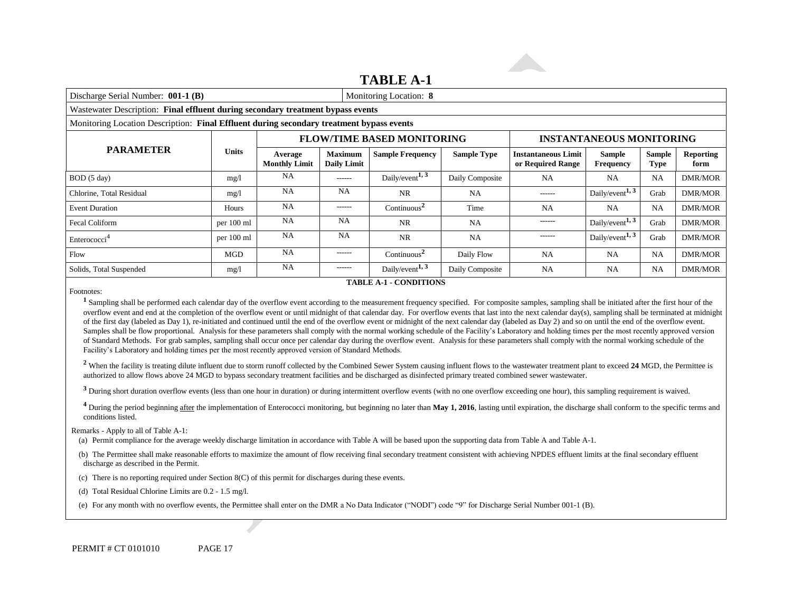# **TABLE A-1**

| Discharge Serial Number: 001-1 (B)                                                       |              |                                 | Monitoring Location: 8               |                                   |                    |                                                 |                                                     |                       |                          |
|------------------------------------------------------------------------------------------|--------------|---------------------------------|--------------------------------------|-----------------------------------|--------------------|-------------------------------------------------|-----------------------------------------------------|-----------------------|--------------------------|
| Wastewater Description: Final effluent during secondary treatment bypass events          |              |                                 |                                      |                                   |                    |                                                 |                                                     |                       |                          |
| Monitoring Location Description: Final Effluent during secondary treatment bypass events |              |                                 |                                      |                                   |                    |                                                 |                                                     |                       |                          |
|                                                                                          |              |                                 |                                      | <b>FLOW/TIME BASED MONITORING</b> |                    |                                                 | <b>INSTANTANEOUS MONITORING</b>                     |                       |                          |
| <b>PARAMETER</b>                                                                         | <b>Units</b> | Average<br><b>Monthly Limit</b> | <b>Maximum</b><br><b>Daily Limit</b> | <b>Sample Frequency</b>           | <b>Sample Type</b> | <b>Instantaneous Limit</b><br>or Required Range | <b>Sample</b><br><b>Frequency</b>                   | <b>Sample</b><br>Type | <b>Reporting</b><br>form |
| BOD (5 day)                                                                              | mg/1         | <b>NA</b>                       | ------                               | Daily/event <sup>1, 3</sup>       | Daily Composite    | NA                                              | <b>NA</b>                                           | <b>NA</b>             | <b>DMR/MOR</b>           |
| Chlorine, Total Residual                                                                 | mg/1         | NA                              | <b>NA</b>                            | <b>NR</b>                         | <b>NA</b>          | ------                                          | Daily/event <sup>1, 3</sup>                         | Grab                  | <b>DMR/MOR</b>           |
| <b>Event Duration</b>                                                                    | Hours        | <b>NA</b>                       | $- - - - - -$                        | $\text{Continuous}^2$             | Time               | <b>NA</b>                                       | <b>NA</b>                                           | <b>NA</b>             | <b>DMR/MOR</b>           |
| <b>Fecal Coliform</b>                                                                    | per 100 ml   | <b>NA</b>                       | <b>NA</b>                            | NR                                | NA                 | ------                                          | Daily/event <sup>1, 3</sup>                         | Grab                  | <b>DMR/MOR</b>           |
| Enterococci <sup>4</sup>                                                                 | per 100 ml   | <b>NA</b>                       | <b>NA</b>                            | <b>NR</b>                         | <b>NA</b>          | ------                                          | Daily/event <sup>1, <math>\overline{3}</math></sup> | Grab                  | DMR/MOR                  |
| Flow                                                                                     | <b>MGD</b>   | <b>NA</b>                       | -------                              | $\text{Continuous}^2$             | Daily Flow         | NA                                              | <b>NA</b>                                           | NA                    | <b>DMR/MOR</b>           |

# Solids, Total Suspended mg/l na NA ------ Daily/event<sup>1, 3</sup> Daily Composite NA NA NA DMR/MOR **TABLE A-1 - CONDITIONS**

Footnotes:

<sup>1</sup> Sampling shall be performed each calendar day of the overflow event according to the measurement frequency specified. For composite samples, sampling shall be initiated after the first hour of the overflow event and end at the completion of the overflow event or until midnight of that calendar day. For overflow events that last into the next calendar day(s), sampling shall be terminated at midnight of the first day (labeled as Day 1), re-initiated and continued until the end of the overflow event or midnight of the next calendar day (labeled as Day 2) and so on until the end of the overflow event. Samples shall be flow proportional. Analysis for these parameters shall comply with the normal working schedule of the Facility's Laboratory and holding times per the most recently approved version of Standard Methods. For grab samples, sampling shall occur once per calendar day during the overflow event. Analysis for these parameters shall comply with the normal working schedule of the Facility's Laboratory and holding times per the most recently approved version of Standard Methods.

<sup>2</sup> When the facility is treating dilute influent due to storm runoff collected by the Combined Sewer System causing influent flows to the wastewater treatment plant to exceed 24 MGD, the Permittee is authorized to allow flows above 24 MGD to bypass secondary treatment facilities and be discharged as disinfected primary treated combined sewer wastewater.

<sup>3</sup> During short duration overflow events (less than one hour in duration) or during intermittent overflow events (with no one overflow exceeding one hour), this sampling requirement is waived.

<sup>4</sup> During the period beginning after the implementation of Enterococci monitoring, but beginning no later than **May 1, 2016**, lasting until expiration, the discharge shall conform to the specific terms and <sup>3</sup> During short du<br><sup>4</sup> During the peric<br>conditions listed.<br>narks - Apply to a

Remarks - Apply to all of Table A-1:

(a) Permit compliance for the average weekly discharge limitation in accordance with Table A will be based upon the supporting data from Table A and Table A-1.

(b) The Permittee shall make reasonable efforts to maximize the amount of flow receiving final secondary treatment consistent with achieving NPDES effluent limits at the final secondary effluent discharge as described in the Permit.

(c) There is no reporting required under Section 8(C) of this permit for discharges during these events.

(d) Total Residual Chlorine Limits are 0.2 - 1.5 mg/l.

(e) For any month with no overflow events, the Permittee shall enter on the DMR a No Data Indicator ("NODI") code "9" for Discharge Serial Number 001-1 (B).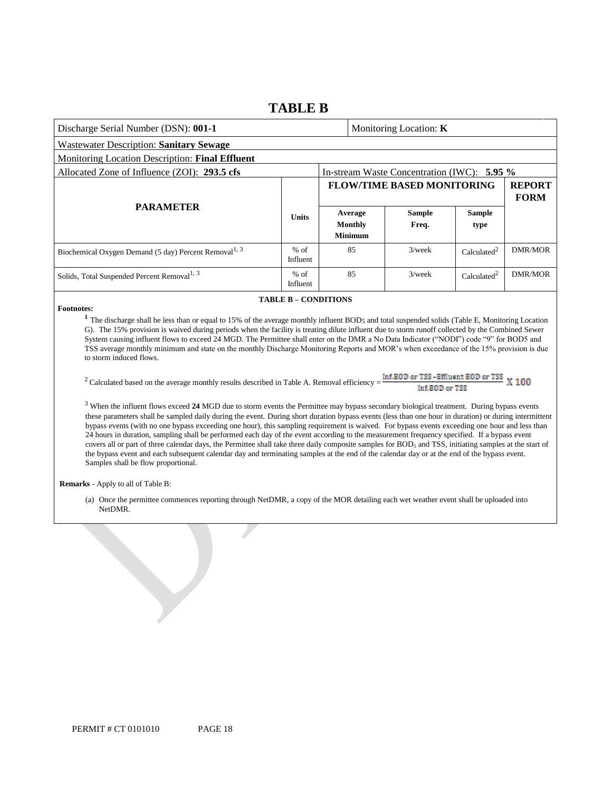# **TABLE B**

| <b>Wastewater Description: Sanitary Sewage</b>                                                                                                                                                                                                                                                                                                                                                                                                                                                                                                                                                                                                                                                                                                                               |                                   |  |                                                                                        |                         |                                                                                         |  |
|------------------------------------------------------------------------------------------------------------------------------------------------------------------------------------------------------------------------------------------------------------------------------------------------------------------------------------------------------------------------------------------------------------------------------------------------------------------------------------------------------------------------------------------------------------------------------------------------------------------------------------------------------------------------------------------------------------------------------------------------------------------------------|-----------------------------------|--|----------------------------------------------------------------------------------------|-------------------------|-----------------------------------------------------------------------------------------|--|
| Monitoring Location Description: Final Effluent                                                                                                                                                                                                                                                                                                                                                                                                                                                                                                                                                                                                                                                                                                                              |                                   |  |                                                                                        |                         |                                                                                         |  |
|                                                                                                                                                                                                                                                                                                                                                                                                                                                                                                                                                                                                                                                                                                                                                                              |                                   |  |                                                                                        |                         |                                                                                         |  |
|                                                                                                                                                                                                                                                                                                                                                                                                                                                                                                                                                                                                                                                                                                                                                                              | <b>FLOW/TIME BASED MONITORING</b> |  |                                                                                        |                         | <b>REPORT</b><br><b>FORM</b>                                                            |  |
| <b>Units</b>                                                                                                                                                                                                                                                                                                                                                                                                                                                                                                                                                                                                                                                                                                                                                                 |                                   |  | <b>Sample</b><br>Freq.                                                                 | <b>Sample</b><br>type   |                                                                                         |  |
| $%$ of<br>Influent                                                                                                                                                                                                                                                                                                                                                                                                                                                                                                                                                                                                                                                                                                                                                           |                                   |  | $3$ /week                                                                              | Calculated <sup>2</sup> | <b>DMR/MOR</b>                                                                          |  |
| $%$ of<br>Influent                                                                                                                                                                                                                                                                                                                                                                                                                                                                                                                                                                                                                                                                                                                                                           |                                   |  | $3$ /week                                                                              | Calculated <sup>2</sup> | <b>DMR/MOR</b>                                                                          |  |
|                                                                                                                                                                                                                                                                                                                                                                                                                                                                                                                                                                                                                                                                                                                                                                              |                                   |  |                                                                                        |                         |                                                                                         |  |
| <b>Footnotes:</b><br><sup>1</sup> The discharge shall be less than or equal to 15% of the average monthly influent BOD <sub>5</sub> and total suspended solids (Table E, Monitoring Location<br>G). The 15% provision is waived during periods when the facility is treating dilute influent due to storm runoff collected by the Combined Sewer<br>System causing influent flows to exceed 24 MGD. The Permittee shall enter on the DMR a No Data Indicator ("NODI") code "9" for BOD5 and<br>TSS average monthly minimum and state on the monthly Discharge Monitoring Reports and MOR's when exceedance of the 15% provision is due<br>to storm induced flows.<br><sup>2</sup> Calculated based on the average monthly results described in Table A. Removal efficiency = |                                   |  |                                                                                        |                         |                                                                                         |  |
|                                                                                                                                                                                                                                                                                                                                                                                                                                                                                                                                                                                                                                                                                                                                                                              |                                   |  | Average<br><b>Monthly</b><br><b>Minimum</b><br>85<br>85<br><b>TABLE B - CONDITIONS</b> | Monitoring Location: K  | In-stream Waste Concentration (IWC): 5.95 %<br>Inf.BOD or TSS-Effluent BOD or TSS X 100 |  |

<sup>2</sup> Calculated based on the average monthly results described in Table A. Removal efficiency =

Inf.BOD or TSS

<sup>3</sup> When the influent flows exceed **24** MGD due to storm events the Permittee may bypass secondary biological treatment. During bypass events these parameters shall be sampled daily during the event. During short duration bypass events (less than one hour in duration) or during intermittent bypass events (with no one bypass exceeding one hour), this sampling requirement is waived. For bypass events exceeding one hour and less than 24 hours in duration, sampling shall be performed each day of the event according to the measurement frequency specified. If a bypass event covers all or part of three calendar days, the Permittee shall take three daily composite samples for BOD<sub>5</sub> and TSS, initiating samples at the start of the bypass event and each subsequent calendar day and terminating samples at the end of the calendar day or at the end of the bypass event. Samples shall be flow proportional.

**Remarks** - Apply to all of Table B:

(a) Once the permittee commences reporting through NetDMR, a copy of the MOR detailing each wet weather event shall be uploaded into NetDMR.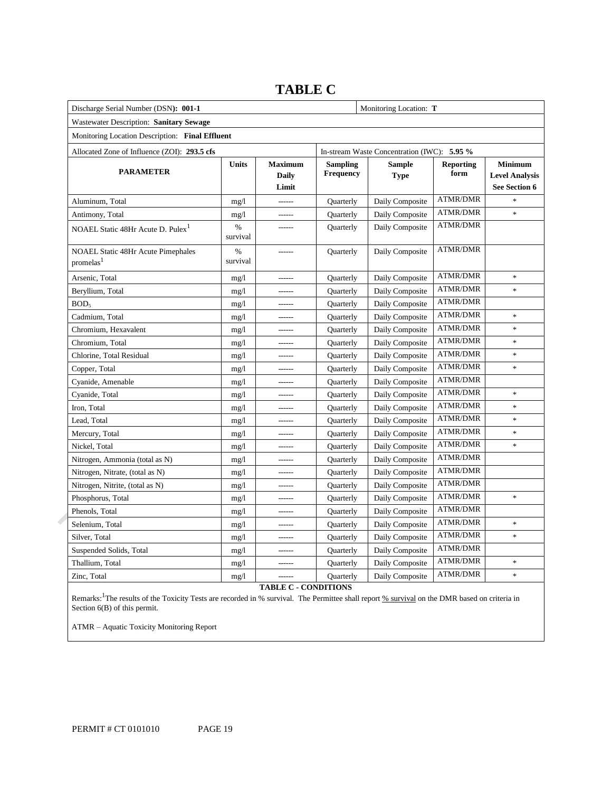| Discharge Serial Number (DSN): 001-1                               |                           |                                         | Monitoring Location: T                      |                              |                          |                                                          |  |
|--------------------------------------------------------------------|---------------------------|-----------------------------------------|---------------------------------------------|------------------------------|--------------------------|----------------------------------------------------------|--|
| Wastewater Description: Sanitary Sewage                            |                           |                                         |                                             |                              |                          |                                                          |  |
| Monitoring Location Description: Final Effluent                    |                           |                                         |                                             |                              |                          |                                                          |  |
| Allocated Zone of Influence (ZOI): 293.5 cfs                       |                           |                                         | In-stream Waste Concentration (IWC): 5.95 % |                              |                          |                                                          |  |
| <b>PARAMETER</b>                                                   | Units                     | <b>Maximum</b><br><b>Daily</b><br>Limit | <b>Sampling</b><br><b>Frequency</b>         | <b>Sample</b><br><b>Type</b> | <b>Reporting</b><br>form | <b>Minimum</b><br><b>Level Analysis</b><br>See Section 6 |  |
| Aluminum. Total                                                    | mg/l                      |                                         | <b>Quarterly</b>                            | Daily Composite              | <b>ATMR/DMR</b>          |                                                          |  |
| Antimony, Total                                                    | mg/1                      | ------                                  | Quarterly                                   | Daily Composite              | <b>ATMR/DMR</b>          | ×                                                        |  |
| NOAEL Static 48Hr Acute D. Pulex <sup>1</sup>                      | $\%$<br>survival          |                                         | Quarterly                                   | Daily Composite              | <b>ATMR/DMR</b>          |                                                          |  |
| <b>NOAEL Static 48Hr Acute Pimephales</b><br>promelas <sup>1</sup> | $\frac{0}{0}$<br>survival |                                         | Quarterly                                   | Daily Composite              | <b>ATMR/DMR</b>          |                                                          |  |
| Arsenic, Total                                                     | mg/1                      | ------                                  | Quarterly                                   | Daily Composite              | <b>ATMR/DMR</b>          | ×                                                        |  |
| Beryllium, Total                                                   | mg/1                      | $---$                                   | Quarterly                                   | Daily Composite              | <b>ATMR/DMR</b>          | ×.                                                       |  |
| BOD <sub>5</sub>                                                   | mg/l                      | ------                                  | Quarterly                                   | Daily Composite              | <b>ATMR/DMR</b>          |                                                          |  |
| Cadmium, Total                                                     | mg/1                      | ------                                  | Quarterly                                   | Daily Composite              | <b>ATMR/DMR</b>          | $\ast$                                                   |  |
| Chromium, Hexavalent                                               | mg/1                      | ------                                  | Quarterly                                   | Daily Composite              | <b>ATMR/DMR</b>          | $\ast$                                                   |  |
| Chromium, Total                                                    | mg/1                      | ------                                  | Quarterly                                   | Daily Composite              | <b>ATMR/DMR</b>          | ×                                                        |  |
| Chlorine, Total Residual                                           | mg/1                      | ------                                  | Quarterly                                   | Daily Composite              | <b>ATMR/DMR</b>          | $\ast$                                                   |  |
| Copper, Total                                                      | mg/l                      | ------                                  | Quarterly                                   | Daily Composite              | <b>ATMR/DMR</b>          | ×                                                        |  |
| Cyanide, Amenable                                                  | mg/1                      | ------                                  | Quarterly                                   | Daily Composite              | <b>ATMR/DMR</b>          |                                                          |  |
| Cyanide, Total                                                     | mg/1                      | ------                                  | Quarterly                                   | Daily Composite              | <b>ATMR/DMR</b>          | ×                                                        |  |
| Iron, Total                                                        | mg/1                      | ------                                  | Quarterly                                   | Daily Composite              | <b>ATMR/DMR</b>          | ×                                                        |  |
| Lead, Total                                                        | mg/1                      | ------                                  | Quarterly                                   | Daily Composite              | <b>ATMR/DMR</b>          | $\ast$                                                   |  |
| Mercury, Total                                                     | mg/1                      | ------                                  | Quarterly                                   | Daily Composite              | <b>ATMR/DMR</b>          | $\ast$                                                   |  |
| Nickel, Total                                                      | mg/1                      | ------                                  | Quarterly                                   | Daily Composite              | <b>ATMR/DMR</b>          | ×                                                        |  |
| Nitrogen, Ammonia (total as N)                                     | mg/1                      | ------                                  | Quarterly                                   | Daily Composite              | <b>ATMR/DMR</b>          |                                                          |  |
| Nitrogen, Nitrate, (total as N)                                    | mg/1                      | ------                                  | Quarterly                                   | Daily Composite              | <b>ATMR/DMR</b>          |                                                          |  |
| Nitrogen, Nitrite, (total as N)                                    | mg/1                      | ------                                  | Quarterly                                   | Daily Composite              | <b>ATMR/DMR</b>          |                                                          |  |
| Phosphorus, Total                                                  | mg/1                      | ------                                  | Quarterly                                   | Daily Composite              | <b>ATMR/DMR</b>          | $\ast$                                                   |  |
| Phenols, Total                                                     | mg/1                      | ------                                  | Quarterly                                   | Daily Composite              | <b>ATMR/DMR</b>          |                                                          |  |
| Selenium, Total                                                    | mg/1                      | ------                                  | Quarterly                                   | Daily Composite              | <b>ATMR/DMR</b>          | $\ast$                                                   |  |
| Silver, Total                                                      | mg/1                      | ------                                  | Quarterly                                   | Daily Composite              | ATMR/DMR                 | ×                                                        |  |
| Suspended Solids, Total                                            | mg/1                      | ------                                  | Quarterly                                   | Daily Composite              | <b>ATMR/DMR</b>          |                                                          |  |
| Thallium, Total                                                    | mg/1                      | ------                                  | Quarterly                                   | Daily Composite              | <b>ATMR/DMR</b>          | $\ast$                                                   |  |
| Zinc, Total                                                        | mg/1                      | ------                                  | Quarterly                                   | Daily Composite              | <b>ATMR/DMR</b>          | ×                                                        |  |

**TABLE C**

**TABLE C - CONDITIONS**

Remarks:<sup>1</sup>The results of the Toxicity Tests are recorded in % survival. The Permittee shall report % survival on the DMR based on criteria in Section 6(B) of this permit.

ATMR – Aquatic Toxicity Monitoring Report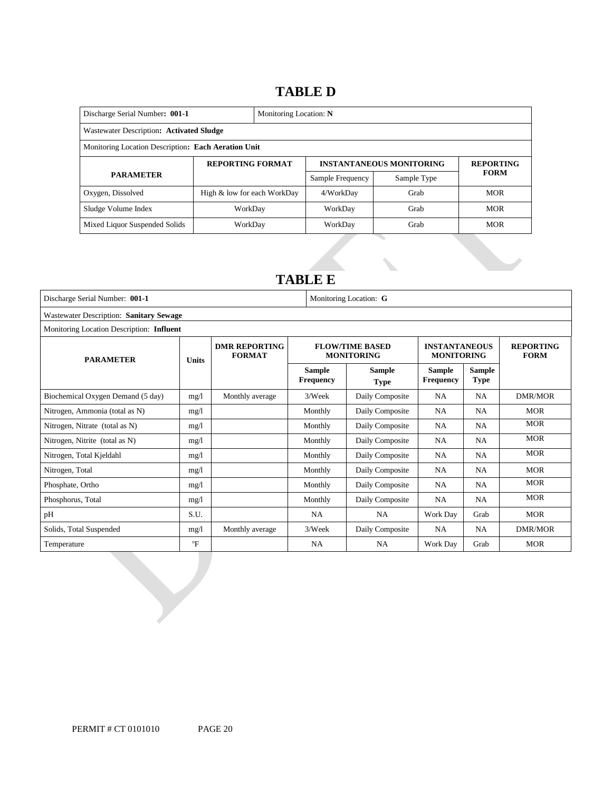# **TABLE D**

| Discharge Serial Number: 001-1<br>Monitoring Location: N |                             |  |                                 |                  |             |
|----------------------------------------------------------|-----------------------------|--|---------------------------------|------------------|-------------|
| Wastewater Description: Activated Sludge                 |                             |  |                                 |                  |             |
| Monitoring Location Description: Each Aeration Unit      |                             |  |                                 |                  |             |
|                                                          | <b>REPORTING FORMAT</b>     |  | <b>INSTANTANEOUS MONITORING</b> | <b>REPORTING</b> |             |
| <b>PARAMETER</b>                                         |                             |  | Sample Frequency                | Sample Type      | <b>FORM</b> |
| Oxygen, Dissolved                                        | High & low for each WorkDay |  | 4/WorkDay                       | Grab             | <b>MOR</b>  |
| Sludge Volume Index                                      | WorkDav                     |  | WorkDay                         | Grab             | <b>MOR</b>  |
| Mixed Liquor Suspended Solids                            | WorkDay                     |  | WorkDay                         | Grab             | <b>MOR</b>  |

# **TABLE E**

| Discharge Serial Number: 001-1            |                                         | Monitoring Location: G                |                                   |                                             |                                           |                              |                                 |
|-------------------------------------------|-----------------------------------------|---------------------------------------|-----------------------------------|---------------------------------------------|-------------------------------------------|------------------------------|---------------------------------|
|                                           | Wastewater Description: Sanitary Sewage |                                       |                                   |                                             |                                           |                              |                                 |
| Monitoring Location Description: Influent |                                         |                                       |                                   |                                             |                                           |                              |                                 |
| <b>PARAMETER</b>                          | <b>Units</b>                            | <b>DMR REPORTING</b><br><b>FORMAT</b> |                                   | <b>FLOW/TIME BASED</b><br><b>MONITORING</b> | <b>INSTANTANEOUS</b><br><b>MONITORING</b> |                              | <b>REPORTING</b><br><b>FORM</b> |
|                                           |                                         |                                       | <b>Sample</b><br><b>Frequency</b> | <b>Sample</b><br><b>Type</b>                | <b>Sample</b><br><b>Frequency</b>         | <b>Sample</b><br><b>Type</b> |                                 |
| Biochemical Oxygen Demand (5 day)         | mg/1                                    | Monthly average                       | 3/Week                            | Daily Composite                             | NA                                        | <b>NA</b>                    | DMR/MOR                         |
| Nitrogen, Ammonia (total as N)            | mg/1                                    |                                       | Monthly                           | Daily Composite                             | NA.                                       | <b>NA</b>                    | <b>MOR</b>                      |
| Nitrogen, Nitrate (total as N)            | mg/1                                    |                                       | Monthly                           | Daily Composite                             | NA                                        | NA                           | <b>MOR</b>                      |
| Nitrogen, Nitrite (total as N)            | mg/1                                    |                                       | Monthly                           | Daily Composite                             | NA                                        | <b>NA</b>                    | <b>MOR</b>                      |
| Nitrogen, Total Kjeldahl                  | mg/l                                    |                                       | Monthly                           | Daily Composite                             | NA                                        | <b>NA</b>                    | <b>MOR</b>                      |
| Nitrogen, Total                           | mg/1                                    |                                       | Monthly                           | Daily Composite                             | NA                                        | <b>NA</b>                    | <b>MOR</b>                      |
| Phosphate, Ortho                          | mg/1                                    |                                       | Monthly                           | Daily Composite                             | NA                                        | NA                           | <b>MOR</b>                      |
| Phosphorus, Total                         | mg/1                                    |                                       | Monthly                           | Daily Composite                             | NA                                        | <b>NA</b>                    | <b>MOR</b>                      |
| pH                                        | S.U.                                    |                                       | <b>NA</b>                         | <b>NA</b>                                   | Work Day                                  | Grab                         | <b>MOR</b>                      |
| Solids, Total Suspended                   | mg/1                                    | Monthly average                       | 3/Week                            | Daily Composite                             | <b>NA</b>                                 | NA                           | <b>DMR/MOR</b>                  |
| Temperature                               | $\mathrm{P}$                            |                                       | NA                                | <b>NA</b>                                   | Work Day                                  | Grab                         | <b>MOR</b>                      |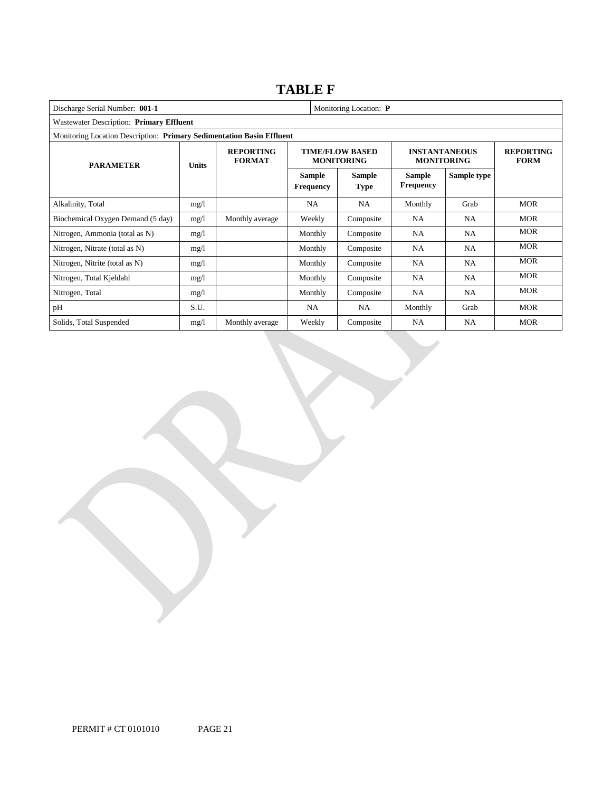# **TABLE F**

| Discharge Serial Number: 001-1                                        | Monitoring Location: P |                                   |                                   |                                             |                                   |                                           |            |
|-----------------------------------------------------------------------|------------------------|-----------------------------------|-----------------------------------|---------------------------------------------|-----------------------------------|-------------------------------------------|------------|
| Wastewater Description: Primary Effluent                              |                        |                                   |                                   |                                             |                                   |                                           |            |
| Monitoring Location Description: Primary Sedimentation Basin Effluent |                        |                                   |                                   |                                             |                                   |                                           |            |
| <b>PARAMETER</b><br><b>Units</b>                                      |                        | <b>REPORTING</b><br><b>FORMAT</b> |                                   | <b>TIME/FLOW BASED</b><br><b>MONITORING</b> |                                   | <b>INSTANTANEOUS</b><br><b>MONITORING</b> |            |
|                                                                       |                        |                                   | <b>Sample</b><br><b>Frequency</b> | <b>Sample</b><br><b>Type</b>                | <b>Sample</b><br><b>Frequency</b> | Sample type                               |            |
| Alkalinity, Total                                                     | mg/l                   |                                   | NA                                | <b>NA</b>                                   | Monthly                           | Grab                                      | <b>MOR</b> |
| Biochemical Oxygen Demand (5 day)                                     | mg/1                   | Monthly average                   | Weekly                            | Composite                                   | <b>NA</b>                         | NA                                        | <b>MOR</b> |
| Nitrogen, Ammonia (total as N)                                        | mg/1                   |                                   | Monthly                           | Composite                                   | <b>NA</b>                         | <b>NA</b>                                 | <b>MOR</b> |
| Nitrogen, Nitrate (total as N)                                        | mg/1                   |                                   | Monthly                           | Composite                                   | <b>NA</b>                         | <b>NA</b>                                 | <b>MOR</b> |
| Nitrogen, Nitrite (total as N)                                        | mg/1                   |                                   | Monthly                           | Composite                                   | <b>NA</b>                         | NA                                        | <b>MOR</b> |
| Nitrogen, Total Kjeldahl                                              | mg/l                   |                                   | Monthly                           | Composite                                   | <b>NA</b>                         | <b>NA</b>                                 | <b>MOR</b> |
| Nitrogen, Total                                                       | mg/1                   |                                   | Monthly                           | Composite                                   | NA                                | NA                                        | <b>MOR</b> |
| pH                                                                    | S.U.                   |                                   | NA                                | <b>NA</b>                                   | Monthly                           | Grab                                      | <b>MOR</b> |
| Solids, Total Suspended                                               | mg/1                   | Monthly average                   | Weekly                            | Composite                                   | <b>NA</b>                         | <b>NA</b>                                 | <b>MOR</b> |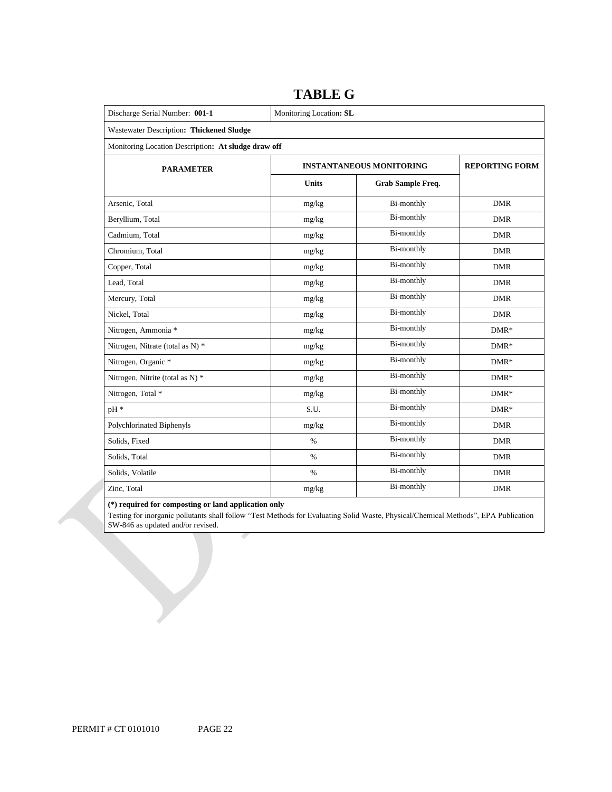| Discharge Serial Number: 001-1                      | Monitoring Location: SL           |                       |            |  |  |  |
|-----------------------------------------------------|-----------------------------------|-----------------------|------------|--|--|--|
| Wastewater Description: Thickened Sludge            |                                   |                       |            |  |  |  |
| Monitoring Location Description: At sludge draw off |                                   |                       |            |  |  |  |
| <b>PARAMETER</b>                                    | <b>INSTANTANEOUS MONITORING</b>   | <b>REPORTING FORM</b> |            |  |  |  |
|                                                     | <b>Units</b><br>Grab Sample Freq. |                       |            |  |  |  |
| Arsenic, Total                                      | mg/kg                             | Bi-monthly            | <b>DMR</b> |  |  |  |
| Beryllium, Total                                    | mg/kg                             | <b>Bi-monthly</b>     | <b>DMR</b> |  |  |  |
| Cadmium, Total                                      | mg/kg                             | Bi-monthly            | <b>DMR</b> |  |  |  |
| Chromium, Total                                     | mg/kg                             | <b>Bi-monthly</b>     | <b>DMR</b> |  |  |  |
| Copper, Total                                       | mg/kg                             | Bi-monthly            | <b>DMR</b> |  |  |  |
| Lead, Total                                         | mg/kg                             | Bi-monthly            | <b>DMR</b> |  |  |  |
| Mercury, Total                                      | mg/kg                             | <b>Bi-monthly</b>     | <b>DMR</b> |  |  |  |
| Nickel, Total                                       | mg/kg                             | <b>Bi-monthly</b>     | <b>DMR</b> |  |  |  |
| Nitrogen, Ammonia *                                 | mg/kg                             | Bi-monthly            | $DMR*$     |  |  |  |
| Nitrogen, Nitrate (total as N) *                    | mg/kg                             | Bi-monthly            | $DMR*$     |  |  |  |
| Nitrogen, Organic *                                 | mg/kg                             | Bi-monthly            | $DMR*$     |  |  |  |
| Nitrogen, Nitrite (total as N) *                    | mg/kg                             | <b>Bi-monthly</b>     | $DMR*$     |  |  |  |
| Nitrogen, Total *                                   | mg/kg                             | Bi-monthly            | $DMR*$     |  |  |  |
| pH *                                                | S.U.                              | Bi-monthly            | $DMR*$     |  |  |  |
| Polychlorinated Biphenyls                           | mg/kg                             | Bi-monthly            | <b>DMR</b> |  |  |  |
| Solids, Fixed                                       | $\%$                              | <b>Bi-monthly</b>     | <b>DMR</b> |  |  |  |
| Solids, Total                                       | $\%$                              | Bi-monthly            | <b>DMR</b> |  |  |  |
| Solids, Volatile                                    | $\%$                              | Bi-monthly            | <b>DMR</b> |  |  |  |
| Zinc, Total                                         | mg/kg                             | Bi-monthly            | <b>DMR</b> |  |  |  |

# **TABLE G**

# **(\*) required for composting or land application only**

Testing for inorganic pollutants shall follow "Test Methods for Evaluating Solid Waste, Physical/Chemical Methods", EPA Publication SW-846 as updated and/or revised.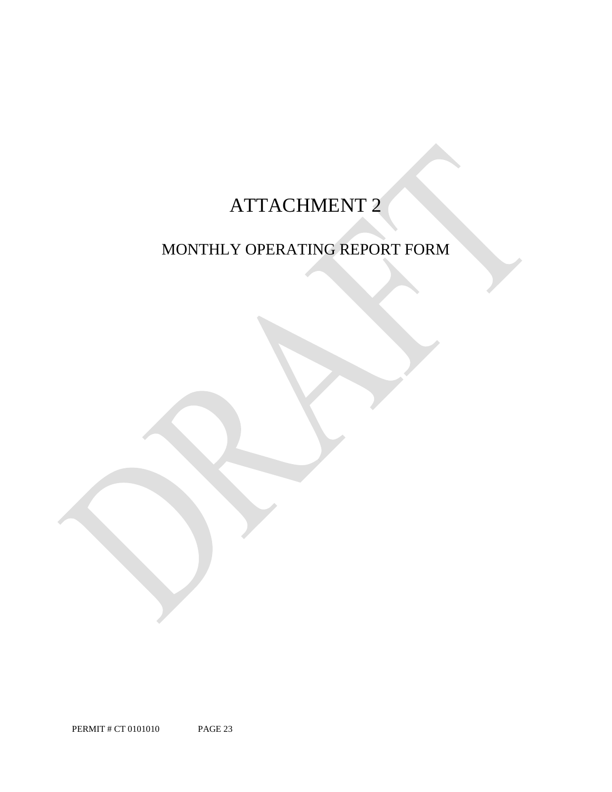# ATTACHMENT 2

# MONTHLY OPERATING REPORT FORM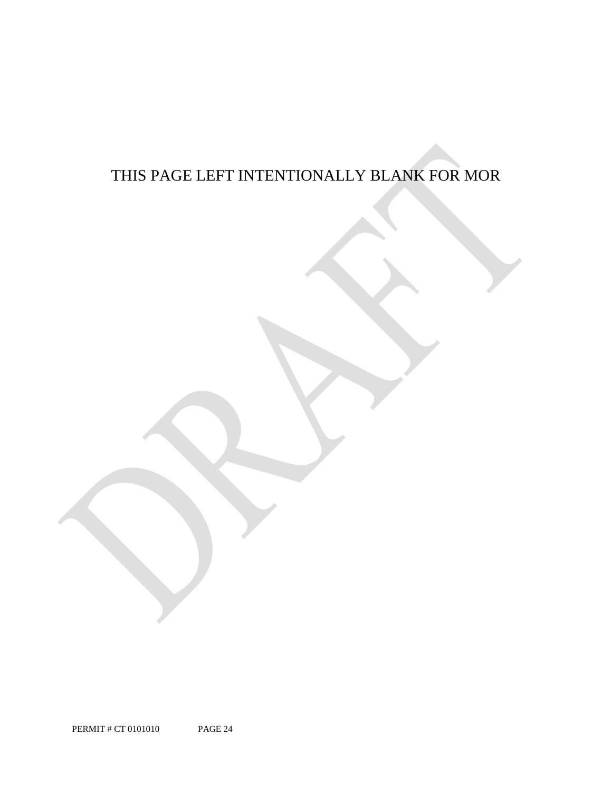# THIS PAGE LEFT INTENTIONALLY BLANK FOR MOR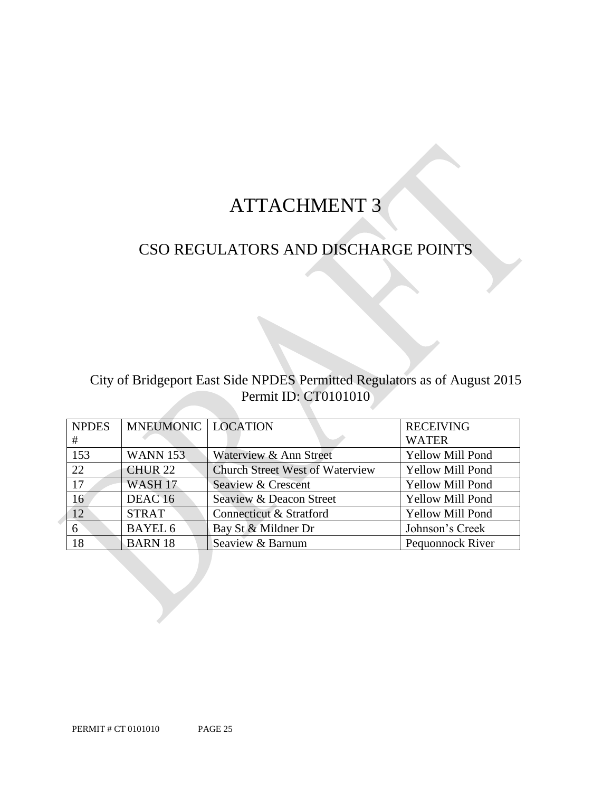# ATTACHMENT 3

# CSO REGULATORS AND DISCHARGE POINTS

# City of Bridgeport East Side NPDES Permitted Regulators as of August 2015 Permit ID: CT0101010

| <b>NPDES</b> | <b>MNEUMONIC   LOCATION</b> |                                        | <b>RECEIVING</b>        |
|--------------|-----------------------------|----------------------------------------|-------------------------|
| #            |                             |                                        | <b>WATER</b>            |
| 153          | <b>WANN 153</b>             | Waterview & Ann Street                 | <b>Yellow Mill Pond</b> |
| 22           | CHUR <sub>22</sub>          | <b>Church Street West of Waterview</b> | <b>Yellow Mill Pond</b> |
| 17           | WASH <sub>17</sub>          | Seaview & Crescent                     | <b>Yellow Mill Pond</b> |
| 16           | DEAC <sub>16</sub>          | Seaview & Deacon Street                | <b>Yellow Mill Pond</b> |
| 12           | <b>STRAT</b>                | Connecticut & Stratford                | <b>Yellow Mill Pond</b> |
| 6            | <b>BAYEL 6</b>              | Bay St & Mildner Dr                    | Johnson's Creek         |
| 18           | <b>BARN 18</b>              | Seaview & Barnum                       | Pequonnock River        |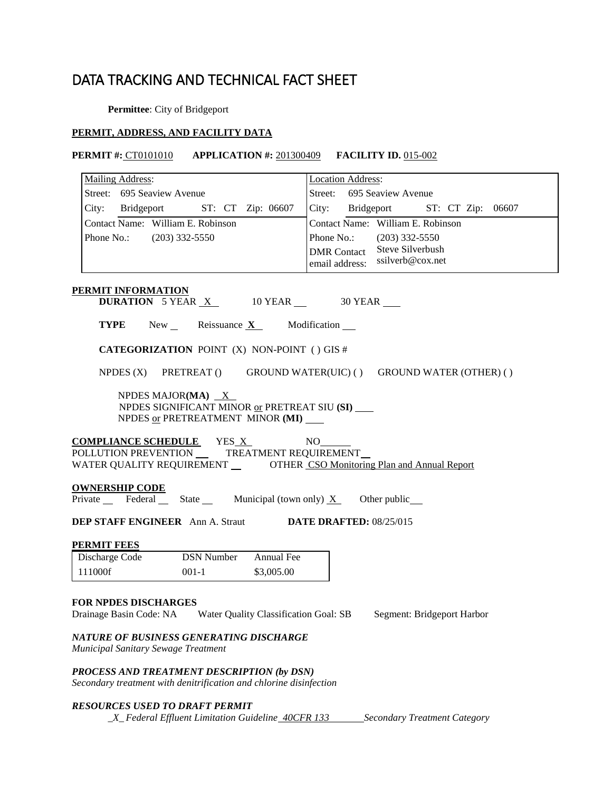# DATA TRACKING AND TECHNICAL FACT SHEET

**Permittee**: City of Bridgeport

# **PERMIT, ADDRESS, AND FACILITY DATA**

# **PERMIT #:** CT0101010 **APPLICATION #:** 201300409 **FACILITY ID.** 015-002

| <b>Mailing Address:</b>                                                                                                                                          | <b>Location Address:</b><br>Street: 695 Seaview Avenue                     |  |  |  |  |  |
|------------------------------------------------------------------------------------------------------------------------------------------------------------------|----------------------------------------------------------------------------|--|--|--|--|--|
| Street: 695 Seaview Avenue                                                                                                                                       |                                                                            |  |  |  |  |  |
| City: Bridgeport ST: CT Zip: 06607<br>Contact Name: William E. Robinson                                                                                          | City: Bridgeport ST: CT Zip: 06607<br>Contact Name: William E. Robinson    |  |  |  |  |  |
| Phone No.: (203) 332-5550                                                                                                                                        | Phone No.: (203) 332-5550                                                  |  |  |  |  |  |
|                                                                                                                                                                  | DMR Contact Steve Silverbush<br>email address: ssilverb@cox.net            |  |  |  |  |  |
|                                                                                                                                                                  |                                                                            |  |  |  |  |  |
| <b>PERMIT INFORMATION</b><br><b>DURATION</b> 5 YEAR $X$ 10 YEAR $\_\$ 30 YEAR $\_\$                                                                              |                                                                            |  |  |  |  |  |
| <b>TYPE</b> New Reissuance $X$ Modification                                                                                                                      |                                                                            |  |  |  |  |  |
| <b>CATEGORIZATION POINT (X) NON-POINT () GIS #</b>                                                                                                               |                                                                            |  |  |  |  |  |
|                                                                                                                                                                  | NPDES $(X)$ PRETREAT $()$ GROUND WATER(UIC) $()$ GROUND WATER (OTHER) $()$ |  |  |  |  |  |
| NPDES MAJOR(MA) $X$<br>NPDES SIGNIFICANT MINOR or PRETREAT SIU (SI)<br>NPDES or PRETREATMENT MINOR (MI)                                                          |                                                                            |  |  |  |  |  |
| <b>COMPLIANCE SCHEDULE</b> YES X<br>POLLUTION PREVENTION TREATMENT REQUIREMENT<br>WATER QUALITY REQUIREMENT ________ OTHER CSO Monitoring Plan and Annual Report | NO                                                                         |  |  |  |  |  |
| <b>OWNERSHIP CODE</b><br>Private Federal State Municipal (town only) $X$ Other public                                                                            |                                                                            |  |  |  |  |  |
| <b>DEP STAFF ENGINEER</b> Ann A. Straut <b>DATE DRAFTED:</b> 08/25/015                                                                                           |                                                                            |  |  |  |  |  |
| <b>PERMIT FEES</b>                                                                                                                                               |                                                                            |  |  |  |  |  |
| DSN Number Annual Fee<br>Discharge Code                                                                                                                          |                                                                            |  |  |  |  |  |
| 111000f<br>$001-1$<br>\$3,005.00                                                                                                                                 |                                                                            |  |  |  |  |  |
| <b>FOR NPDES DISCHARGES</b>                                                                                                                                      |                                                                            |  |  |  |  |  |
| Drainage Basin Code: NA<br>Water Quality Classification Goal: SB                                                                                                 | Segment: Bridgeport Harbor                                                 |  |  |  |  |  |
| NATURE OF BUSINESS GENERATING DISCHARGE<br>Municipal Sanitary Sewage Treatment                                                                                   |                                                                            |  |  |  |  |  |
| PROCESS AND TREATMENT DESCRIPTION (by DSN)<br>Secondary treatment with denitrification and chlorine disinfection                                                 |                                                                            |  |  |  |  |  |
| <b>RESOURCES USED TO DRAFT PERMIT</b>                                                                                                                            |                                                                            |  |  |  |  |  |

*\_X\_ Federal Effluent Limitation Guideline 40CFR 133 Secondary Treatment Category*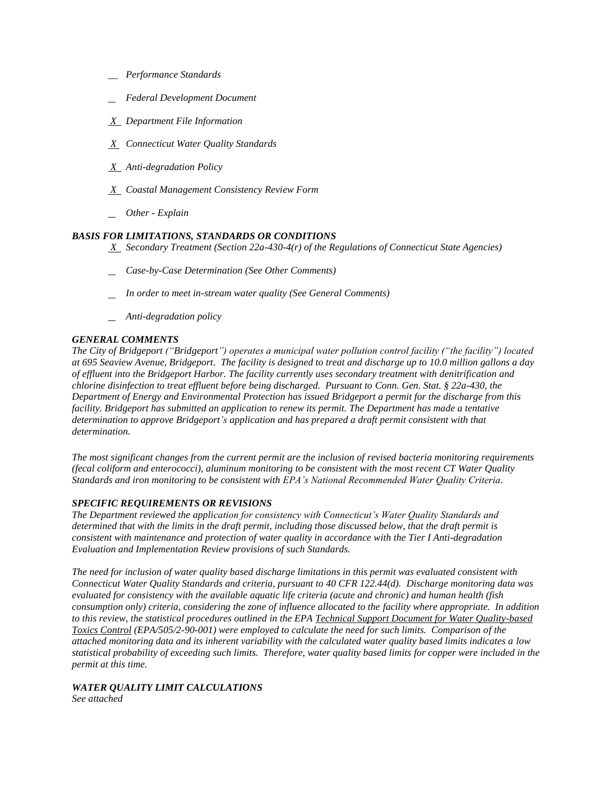- *\_\_ Performance Standards*
- *Federal Development Document*
- *X Department File Information*
- *X Connecticut Water Quality Standards*
- *X Anti-degradation Policy*
- *X Coastal Management Consistency Review Form*
- *Other Explain*

# *BASIS FOR LIMITATIONS, STANDARDS OR CONDITIONS*

 *X Secondary Treatment (Section 22a-430-4(r) of the Regulations of Connecticut State Agencies)* 

- *Case-by-Case Determination (See Other Comments)*
- *In order to meet in-stream water quality (See General Comments)*
- *Anti-degradation policy*

# *GENERAL COMMENTS*

*The City of Bridgeport ("Bridgeport") operates a municipal water pollution control facility ("the facility") located at 695 Seaview Avenue, Bridgeport. The facility is designed to treat and discharge up to 10.0 million gallons a day of effluent into the Bridgeport Harbor. The facility currently uses secondary treatment with denitrification and chlorine disinfection to treat effluent before being discharged. Pursuant to Conn. Gen. Stat. § 22a-430, the Department of Energy and Environmental Protection has issued Bridgeport a permit for the discharge from this facility. Bridgeport has submitted an application to renew its permit. The Department has made a tentative determination to approve Bridgeport's application and has prepared a draft permit consistent with that determination.* 

*The most significant changes from the current permit are the inclusion of revised bacteria monitoring requirements (fecal coliform and enterococci), aluminum monitoring to be consistent with the most recent CT Water Quality Standards and iron monitoring to be consistent with EPA's National Recommended Water Quality Criteria.*

## *SPECIFIC REQUIREMENTS OR REVISIONS*

*The Department reviewed the application for consistency with Connecticut's Water Quality Standards and determined that with the limits in the draft permit, including those discussed below, that the draft permit is consistent with maintenance and protection of water quality in accordance with the Tier I Anti-degradation Evaluation and Implementation Review provisions of such Standards.* 

*The need for inclusion of water quality based discharge limitations in this permit was evaluated consistent with Connecticut Water Quality Standards and criteria, pursuant to 40 CFR 122.44(d). Discharge monitoring data was evaluated for consistency with the available aquatic life criteria (acute and chronic) and human health (fish consumption only) criteria, considering the zone of influence allocated to the facility where appropriate. In addition to this review, the statistical procedures outlined in the EPA Technical Support Document for Water Quality-based Toxics Control (EPA/505/2-90-001) were employed to calculate the need for such limits. Comparison of the attached monitoring data and its inherent variability with the calculated water quality based limits indicates a low statistical probability of exceeding such limits. Therefore, water quality based limits for copper were included in the permit at this time.* 

# *WATER QUALITY LIMIT CALCULATIONS*

*See attached*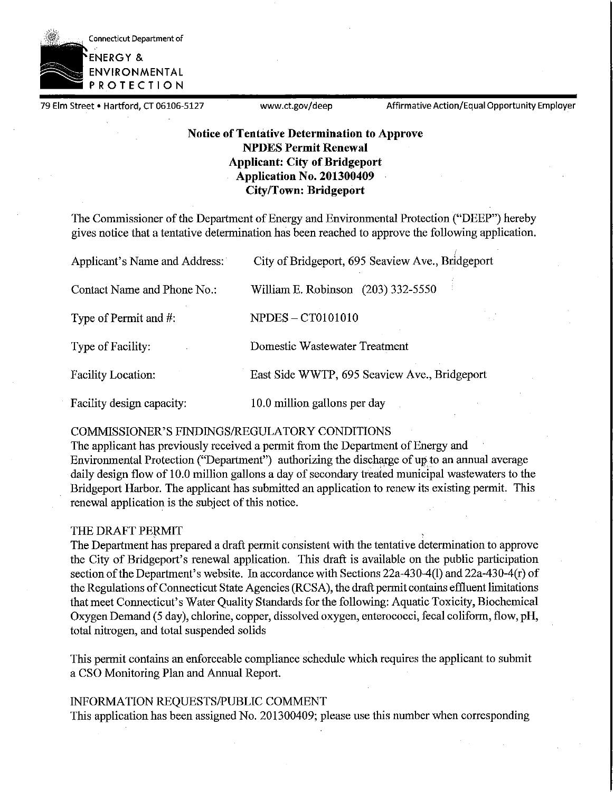

79 Elm Street • Hartford, CT 06106-5127 www.ct.gov/deep Affirmative Action/Equal Opportunity Employer

# **Notice of Tentative Determination to Approve NPDES Permit Renewal Applicant: City of Bridgeport Application No. 201300409 City/Town: Bridgeport**

The Commissioner of the Department of Energy and Environmental Protection ("DEEP") hereby gives notice that a tentative determination has been reached to approve the following application .

| Applicant's Name and Address: | City of Bridgeport, 695 Seaview Ave., Bridgeport |
|-------------------------------|--------------------------------------------------|
| Contact Name and Phone No.:   | William E. Robinson (203) 332-5550               |
| Type of Permit and #:         | <b>NPDES - CT0101010</b>                         |
| Type of Facility:             | Domestic Wastewater Treatment                    |
| Facility Location:            | East Side WWTP, 695 Seaview Ave., Bridgeport     |
| Facility design capacity:     | 10.0 million gallons per day                     |

# COMMISSIONER'S FINDINGS/REGULATORY CONDITIONS

The applicant has previously received a permit from the Department of Energy and Environmental Protection ("Department") authorizing the discharge of up to an annual average daily design flow of 10.0 million gallons a day of secondary treated municipal wastewaters to the Bridgeport Harbor. The applicant has submitted an application to renew its existing permit. This renewal application is the subject of this notice.

# THE DRAFT PERMIT

The Department has prepared a draft permit consistent with the tentative determination to approve the City of Bridgeport's renewal application. This draft is available on the public participation section of the Department's website. In accordance with Sections 22a-430-4(1) and 22a-430-4(r) of the Regulations of Connecticut State Agencies (RCSA), the draft permit contains effluent limitations that meet Connecticut's Water Quality Standards for the following: Aquatic Toxicity, Biochemical Oxygen Demand (5 day), chlorine, copper, dissolved oxygen, enterococci, fecal coliform, flow, **pH,**  total nitrogen, and total suspended solids

This permit contains an enforceable compliance schedule which requires the applicant to submit a CSO Monitoring Plan and Annual Report.

# INFORMATION REQUESTS/PUBLIC COMMENT

This application has been assigned No. 201300409; please use this number when corresponding